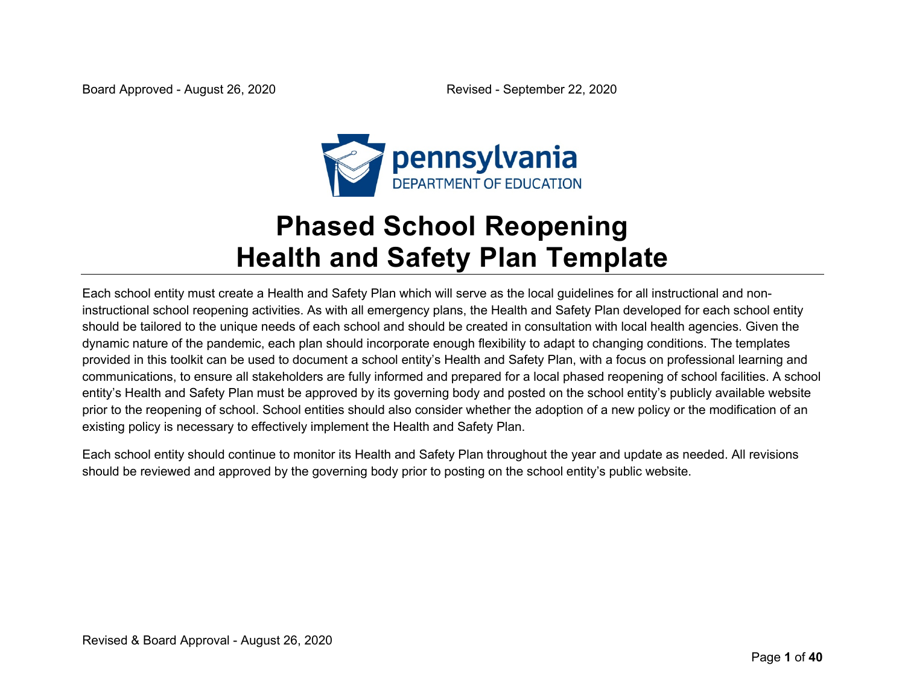

# **Phased School Reopening Health and Safety Plan Template**

Each school entity must create a Health and Safety Plan which will serve as the local guidelines for all instructional and noninstructional school reopening activities. As with all emergency plans, the Health and Safety Plan developed for each school entity should be tailored to the unique needs of each school and should be created in consultation with local health agencies. Given the dynamic nature of the pandemic, each plan should incorporate enough flexibility to adapt to changing conditions. The templates provided in this toolkit can be used to document a school entity's Health and Safety Plan, with a focus on professional learning and communications, to ensure all stakeholders are fully informed and prepared for a local phased reopening of school facilities. A school entity's Health and Safety Plan must be approved by its governing body and posted on the school entity's publicly available website prior to the reopening of school. School entities should also consider whether the adoption of a new policy or the modification of an existing policy is necessary to effectively implement the Health and Safety Plan.

Each school entity should continue to monitor its Health and Safety Plan throughout the year and update as needed. All revisions should be reviewed and approved by the governing body prior to posting on the school entity's public website.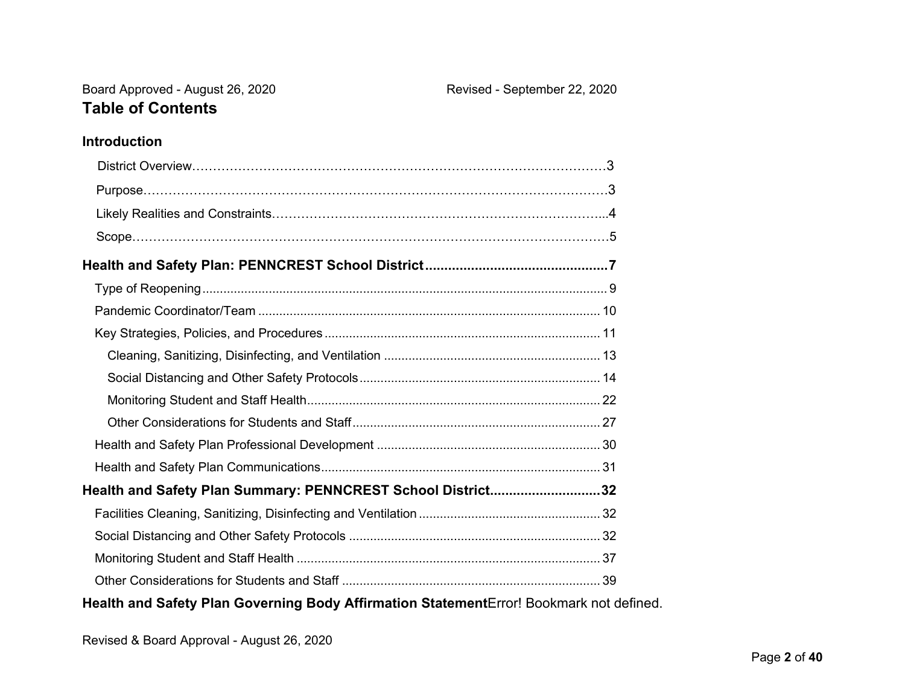### **Introduction**

| Health and Safety Plan Summary: PENNCREST School District32 |  |
|-------------------------------------------------------------|--|
|                                                             |  |
|                                                             |  |
|                                                             |  |
|                                                             |  |
|                                                             |  |

### **Health and Safety Plan Governing Body Affirmation Statement**Error! Bookmark not defined.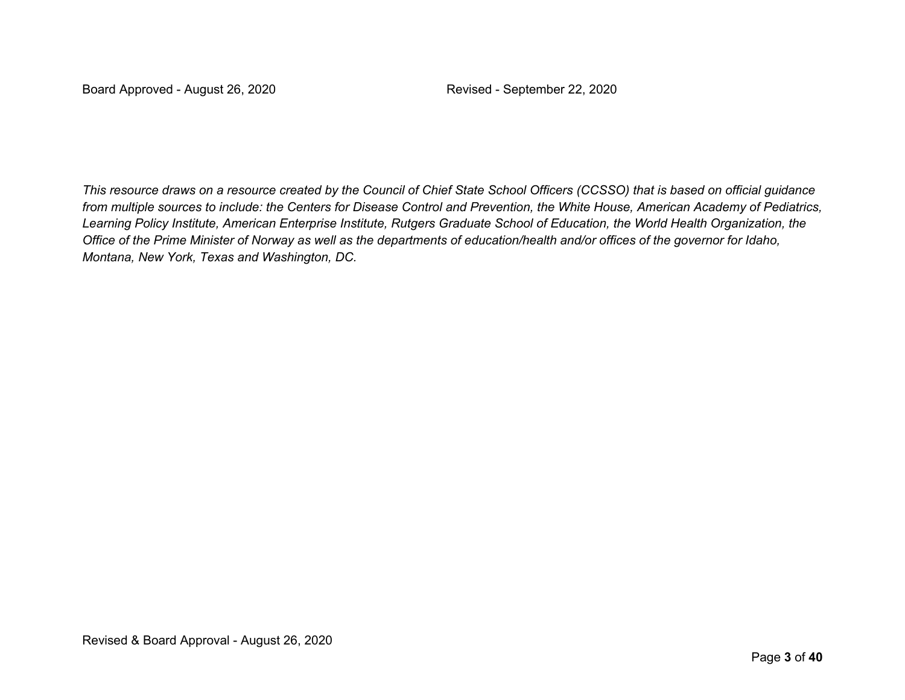*This resource draws on a resource created by the Council of Chief State School Officers (CCSSO) that is based on official guidance from multiple sources to include: the Centers for Disease Control and Prevention, the White House, American Academy of Pediatrics, Learning Policy Institute, American Enterprise Institute, Rutgers Graduate School of Education, the World Health Organization, the Office of the Prime Minister of Norway as well as the departments of education/health and/or offices of the governor for Idaho, Montana, New York, Texas and Washington, DC.*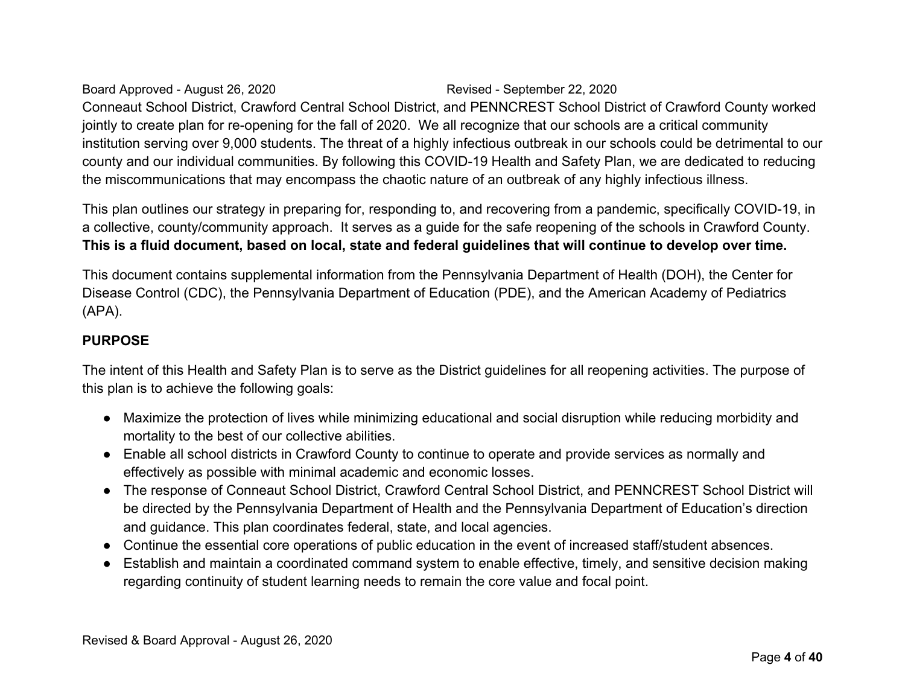Board Approved - August 26, 2020 Revised - September 22, 2020 Conneaut School District, Crawford Central School District, and PENNCREST School District of Crawford County worked jointly to create plan for re-opening for the fall of 2020. We all recognize that our schools are a critical community institution serving over 9,000 students. The threat of a highly infectious outbreak in our schools could be detrimental to our county and our individual communities. By following this COVID-19 Health and Safety Plan, we are dedicated to reducing the miscommunications that may encompass the chaotic nature of an outbreak of any highly infectious illness.

This plan outlines our strategy in preparing for, responding to, and recovering from a pandemic, specifically COVID-19, in a collective, county/community approach. It serves as a guide for the safe reopening of the schools in Crawford County. **This is a fluid document, based on local, state and federal guidelines that will continue to develop over time.** 

This document contains supplemental information from the Pennsylvania Department of Health (DOH), the Center for Disease Control (CDC), the Pennsylvania Department of Education (PDE), and the American Academy of Pediatrics (APA).

### **PURPOSE**

The intent of this Health and Safety Plan is to serve as the District guidelines for all reopening activities. The purpose of this plan is to achieve the following goals:

- Maximize the protection of lives while minimizing educational and social disruption while reducing morbidity and mortality to the best of our collective abilities.
- Enable all school districts in Crawford County to continue to operate and provide services as normally and effectively as possible with minimal academic and economic losses.
- The response of Conneaut School District, Crawford Central School District, and PENNCREST School District will be directed by the Pennsylvania Department of Health and the Pennsylvania Department of Education's direction and guidance. This plan coordinates federal, state, and local agencies.
- Continue the essential core operations of public education in the event of increased staff/student absences.
- Establish and maintain a coordinated command system to enable effective, timely, and sensitive decision making regarding continuity of student learning needs to remain the core value and focal point.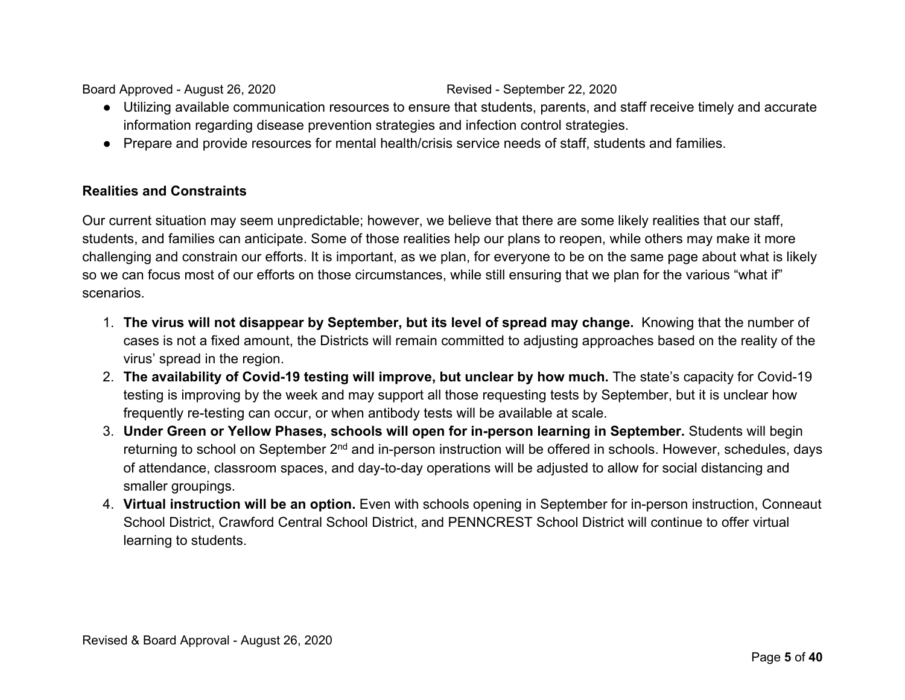- Utilizing available communication resources to ensure that students, parents, and staff receive timely and accurate information regarding disease prevention strategies and infection control strategies.
- Prepare and provide resources for mental health/crisis service needs of staff, students and families.

### **Realities and Constraints**

Our current situation may seem unpredictable; however, we believe that there are some likely realities that our staff, students, and families can anticipate. Some of those realities help our plans to reopen, while others may make it more challenging and constrain our efforts. It is important, as we plan, for everyone to be on the same page about what is likely so we can focus most of our efforts on those circumstances, while still ensuring that we plan for the various "what if" scenarios.

- 1. **The virus will not disappear by September, but its level of spread may change.** Knowing that the number of cases is not a fixed amount, the Districts will remain committed to adjusting approaches based on the reality of the virus' spread in the region.
- 2. **The availability of Covid-19 testing will improve, but unclear by how much.** The state's capacity for Covid-19 testing is improving by the week and may support all those requesting tests by September, but it is unclear how frequently re-testing can occur, or when antibody tests will be available at scale.
- 3. **Under Green or Yellow Phases, schools will open for in-person learning in September.** Students will begin returning to school on September 2<sup>nd</sup> and in-person instruction will be offered in schools. However, schedules, days of attendance, classroom spaces, and day-to-day operations will be adjusted to allow for social distancing and smaller groupings.
- 4. **Virtual instruction will be an option.** Even with schools opening in September for in-person instruction, Conneaut School District, Crawford Central School District, and PENNCREST School District will continue to offer virtual learning to students.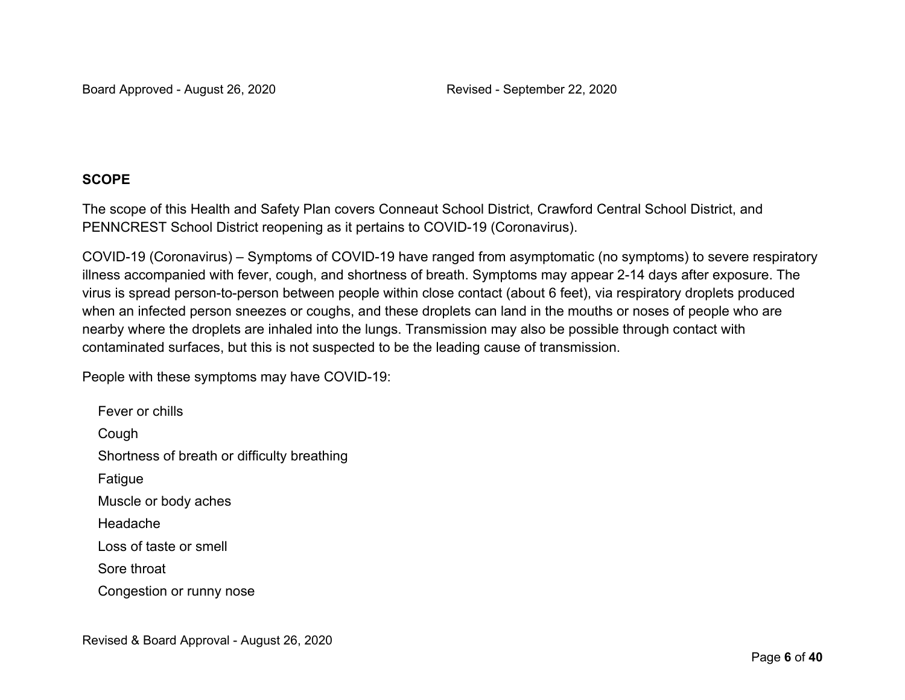### **SCOPE**

The scope of this Health and Safety Plan covers Conneaut School District, Crawford Central School District, and PENNCREST School District reopening as it pertains to COVID-19 (Coronavirus).

COVID-19 (Coronavirus) – Symptoms of COVID-19 have ranged from asymptomatic (no symptoms) to severe respiratory illness accompanied with fever, cough, and shortness of breath. Symptoms may appear 2-14 days after exposure. The virus is spread person-to-person between people within close contact (about 6 feet), via respiratory droplets produced when an infected person sneezes or coughs, and these droplets can land in the mouths or noses of people who are nearby where the droplets are inhaled into the lungs. Transmission may also be possible through contact with contaminated surfaces, but this is not suspected to be the leading cause of transmission.

People with these symptoms may have COVID-19:

Fever or chills Cough Shortness of breath or difficulty breathing Fatigue Muscle or body aches Headache Loss of taste or smell Sore throat Congestion or runny nose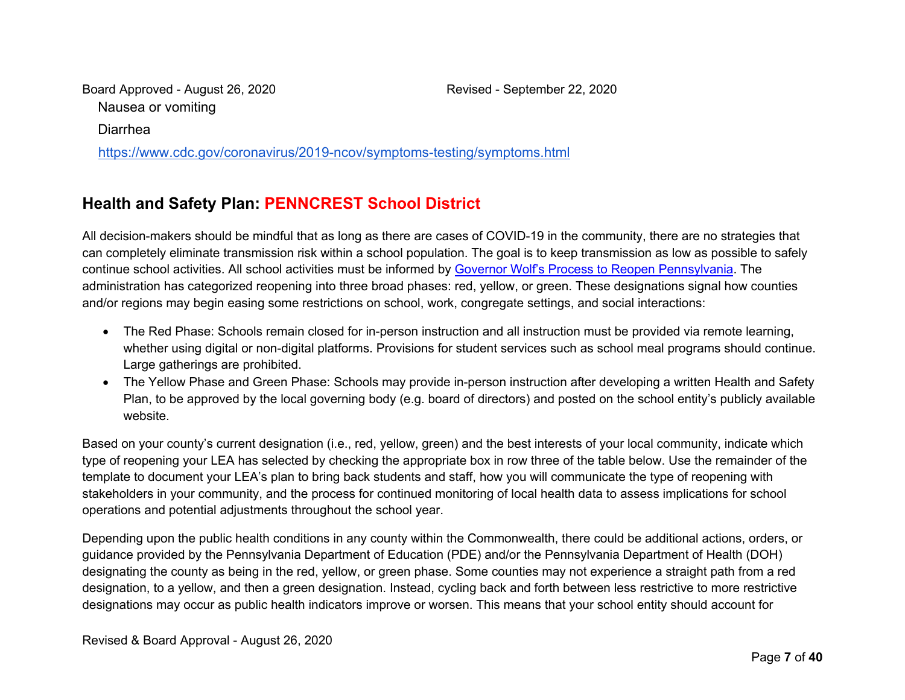Board Approved - August 26, 2020 Revised - September 22, 2020 Nausea or vomiting

Diarrhea

https://www.cdc.gov/coronavirus/2019-ncov/symptoms-testing/symptoms.html

## **Health and Safety Plan: PENNCREST School District**

All decision-makers should be mindful that as long as there are cases of COVID-19 in the community, there are no strategies that can completely eliminate transmission risk within a school population. The goal is to keep transmission as low as possible to safely continue school activities. All school activities must be informed by Governor Wolf's Process to Reopen Pennsylvania. The administration has categorized reopening into three broad phases: red, yellow, or green. These designations signal how counties and/or regions may begin easing some restrictions on school, work, congregate settings, and social interactions:

- The Red Phase: Schools remain closed for in-person instruction and all instruction must be provided via remote learning, whether using digital or non-digital platforms. Provisions for student services such as school meal programs should continue. Large gatherings are prohibited.
- The Yellow Phase and Green Phase: Schools may provide in-person instruction after developing a written Health and Safety Plan, to be approved by the local governing body (e.g. board of directors) and posted on the school entity's publicly available website.

Based on your county's current designation (i.e., red, yellow, green) and the best interests of your local community, indicate which type of reopening your LEA has selected by checking the appropriate box in row three of the table below. Use the remainder of the template to document your LEA's plan to bring back students and staff, how you will communicate the type of reopening with stakeholders in your community, and the process for continued monitoring of local health data to assess implications for school operations and potential adjustments throughout the school year.

Depending upon the public health conditions in any county within the Commonwealth, there could be additional actions, orders, or guidance provided by the Pennsylvania Department of Education (PDE) and/or the Pennsylvania Department of Health (DOH) designating the county as being in the red, yellow, or green phase. Some counties may not experience a straight path from a red designation, to a yellow, and then a green designation. Instead, cycling back and forth between less restrictive to more restrictive designations may occur as public health indicators improve or worsen. This means that your school entity should account for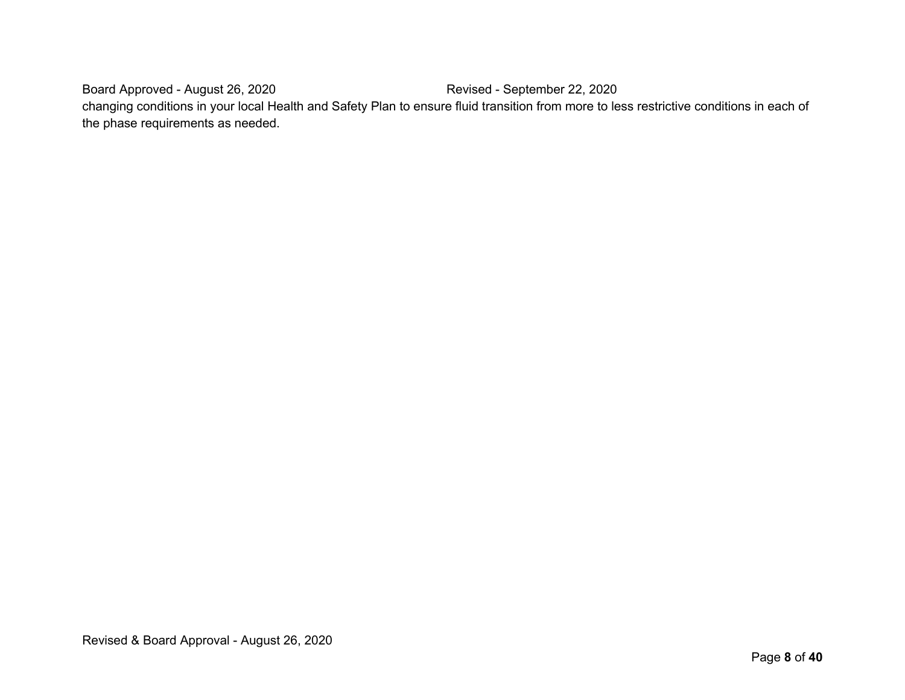Board Approved - August 26, 2020 Revised - September 22, 2020 changing conditions in your local Health and Safety Plan to ensure fluid transition from more to less restrictive conditions in each of the phase requirements as needed.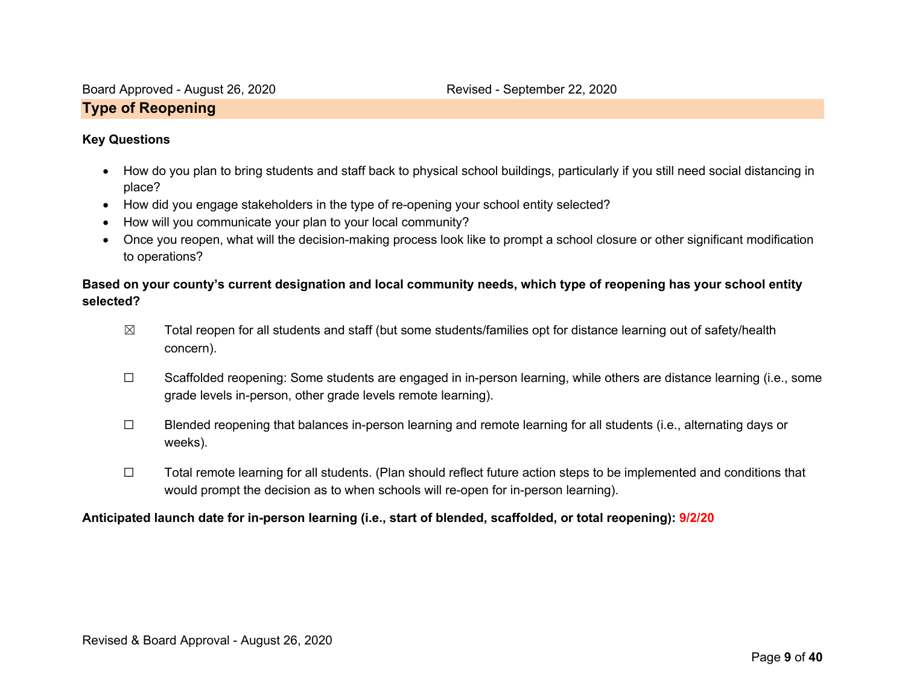### **Type of Reopening**

### **Key Questions**

- How do you plan to bring students and staff back to physical school buildings, particularly if you still need social distancing in place?
- How did you engage stakeholders in the type of re-opening your school entity selected?
- How will you communicate your plan to your local community?
- Once you reopen, what will the decision-making process look like to prompt a school closure or other significant modification to operations?

### **Based on your county's current designation and local community needs, which type of reopening has your school entity selected?**

- $\boxtimes$  Total reopen for all students and staff (but some students/families opt for distance learning out of safety/health concern).
- ☐ Scaffolded reopening: Some students are engaged in in-person learning, while others are distance learning (i.e., some grade levels in-person, other grade levels remote learning).
- ☐ Blended reopening that balances in-person learning and remote learning for all students (i.e., alternating days or weeks).
- ☐ Total remote learning for all students. (Plan should reflect future action steps to be implemented and conditions that would prompt the decision as to when schools will re-open for in-person learning).

### **Anticipated launch date for in-person learning (i.e., start of blended, scaffolded, or total reopening): 9/2/20**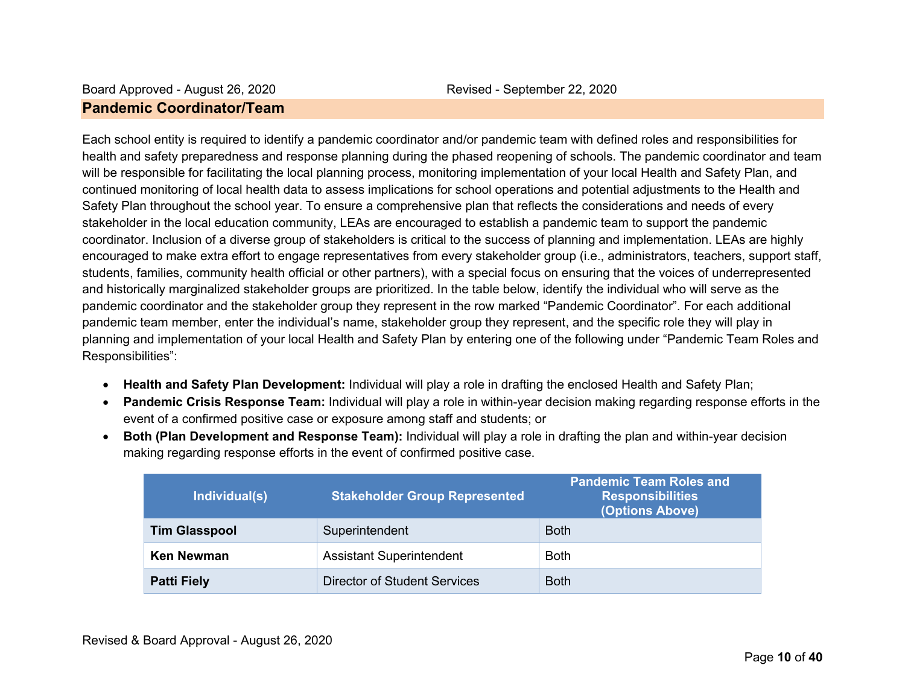### Board Approved - August 26, 2020 Revised - September 22, 2020 **Pandemic Coordinator/Team**

Each school entity is required to identify a pandemic coordinator and/or pandemic team with defined roles and responsibilities for health and safety preparedness and response planning during the phased reopening of schools. The pandemic coordinator and team will be responsible for facilitating the local planning process, monitoring implementation of your local Health and Safety Plan, and continued monitoring of local health data to assess implications for school operations and potential adjustments to the Health and Safety Plan throughout the school year. To ensure a comprehensive plan that reflects the considerations and needs of every stakeholder in the local education community, LEAs are encouraged to establish a pandemic team to support the pandemic coordinator. Inclusion of a diverse group of stakeholders is critical to the success of planning and implementation. LEAs are highly encouraged to make extra effort to engage representatives from every stakeholder group (i.e., administrators, teachers, support staff, students, families, community health official or other partners), with a special focus on ensuring that the voices of underrepresented and historically marginalized stakeholder groups are prioritized. In the table below, identify the individual who will serve as the pandemic coordinator and the stakeholder group they represent in the row marked "Pandemic Coordinator". For each additional pandemic team member, enter the individual's name, stakeholder group they represent, and the specific role they will play in planning and implementation of your local Health and Safety Plan by entering one of the following under "Pandemic Team Roles and Responsibilities":

- **Health and Safety Plan Development:** Individual will play a role in drafting the enclosed Health and Safety Plan;
- **Pandemic Crisis Response Team:** Individual will play a role in within-year decision making regarding response efforts in the event of a confirmed positive case or exposure among staff and students; or
- **Both (Plan Development and Response Team):** Individual will play a role in drafting the plan and within-year decision making regarding response efforts in the event of confirmed positive case.

| Individual(s)        | <b>Stakeholder Group Represented</b> | <b>Pandemic Team Roles and</b><br><b>Responsibilities</b><br>(Options Above) |
|----------------------|--------------------------------------|------------------------------------------------------------------------------|
| <b>Tim Glasspool</b> | Superintendent                       | <b>Both</b>                                                                  |
| <b>Ken Newman</b>    | <b>Assistant Superintendent</b>      | <b>Both</b>                                                                  |
| <b>Patti Fiely</b>   | Director of Student Services         | <b>Both</b>                                                                  |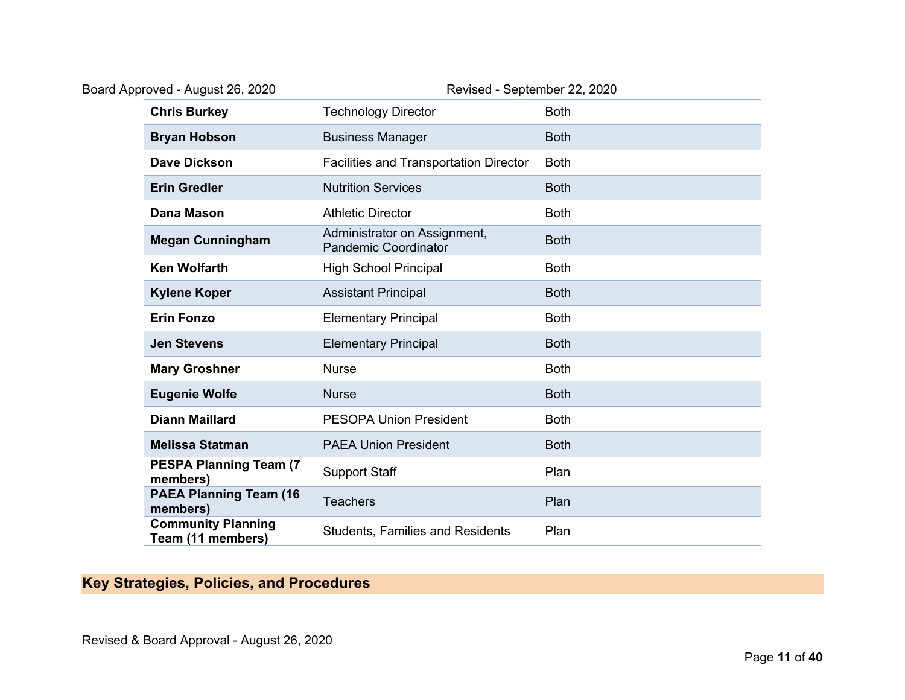| Board Approved - August 26, 2020               | Revised - September 22, 2020                                |             |
|------------------------------------------------|-------------------------------------------------------------|-------------|
| <b>Chris Burkey</b>                            | <b>Technology Director</b>                                  | <b>Both</b> |
| <b>Bryan Hobson</b>                            | <b>Business Manager</b>                                     | <b>Both</b> |
| <b>Dave Dickson</b>                            | <b>Facilities and Transportation Director</b>               | <b>Both</b> |
| <b>Erin Gredler</b>                            | <b>Nutrition Services</b>                                   | <b>Both</b> |
| <b>Dana Mason</b>                              | <b>Athletic Director</b>                                    | <b>Both</b> |
| <b>Megan Cunningham</b>                        | Administrator on Assignment,<br><b>Pandemic Coordinator</b> | <b>Both</b> |
| <b>Ken Wolfarth</b>                            | <b>High School Principal</b>                                | <b>Both</b> |
| <b>Kylene Koper</b>                            | <b>Assistant Principal</b>                                  | <b>Both</b> |
| <b>Erin Fonzo</b>                              | <b>Elementary Principal</b>                                 | <b>Both</b> |
| <b>Jen Stevens</b>                             | <b>Elementary Principal</b>                                 | <b>Both</b> |
| <b>Mary Groshner</b>                           | <b>Nurse</b>                                                | <b>Both</b> |
| <b>Eugenie Wolfe</b>                           | <b>Nurse</b>                                                | <b>Both</b> |
| <b>Diann Maillard</b>                          | <b>PESOPA Union President</b>                               | <b>Both</b> |
| <b>Melissa Statman</b>                         | <b>PAEA Union President</b>                                 | <b>Both</b> |
| <b>PESPA Planning Team (7)</b><br>members)     | <b>Support Staff</b>                                        | Plan        |
| <b>PAEA Planning Team (16)</b><br>members)     | <b>Teachers</b>                                             | Plan        |
| <b>Community Planning</b><br>Team (11 members) | <b>Students, Families and Residents</b>                     | Plan        |

# **Key Strategies, Policies, and Procedures**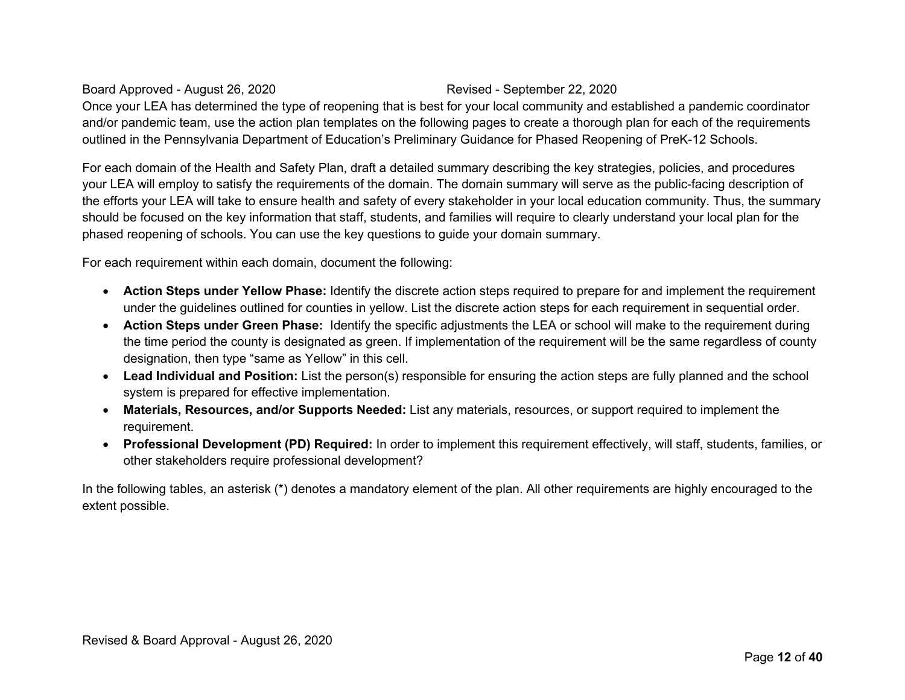Once your LEA has determined the type of reopening that is best for your local community and established a pandemic coordinator and/or pandemic team, use the action plan templates on the following pages to create a thorough plan for each of the requirements outlined in the Pennsylvania Department of Education's Preliminary Guidance for Phased Reopening of PreK-12 Schools.

For each domain of the Health and Safety Plan, draft a detailed summary describing the key strategies, policies, and procedures your LEA will employ to satisfy the requirements of the domain. The domain summary will serve as the public-facing description of the efforts your LEA will take to ensure health and safety of every stakeholder in your local education community. Thus, the summary should be focused on the key information that staff, students, and families will require to clearly understand your local plan for the phased reopening of schools. You can use the key questions to guide your domain summary.

For each requirement within each domain, document the following:

- **Action Steps under Yellow Phase:** Identify the discrete action steps required to prepare for and implement the requirement under the guidelines outlined for counties in yellow. List the discrete action steps for each requirement in sequential order.
- **Action Steps under Green Phase:** Identify the specific adjustments the LEA or school will make to the requirement during the time period the county is designated as green. If implementation of the requirement will be the same regardless of county designation, then type "same as Yellow" in this cell.
- **Lead Individual and Position:** List the person(s) responsible for ensuring the action steps are fully planned and the school system is prepared for effective implementation.
- **Materials, Resources, and/or Supports Needed:** List any materials, resources, or support required to implement the requirement.
- **Professional Development (PD) Required:** In order to implement this requirement effectively, will staff, students, families, or other stakeholders require professional development?

In the following tables, an asterisk (\*) denotes a mandatory element of the plan. All other requirements are highly encouraged to the extent possible.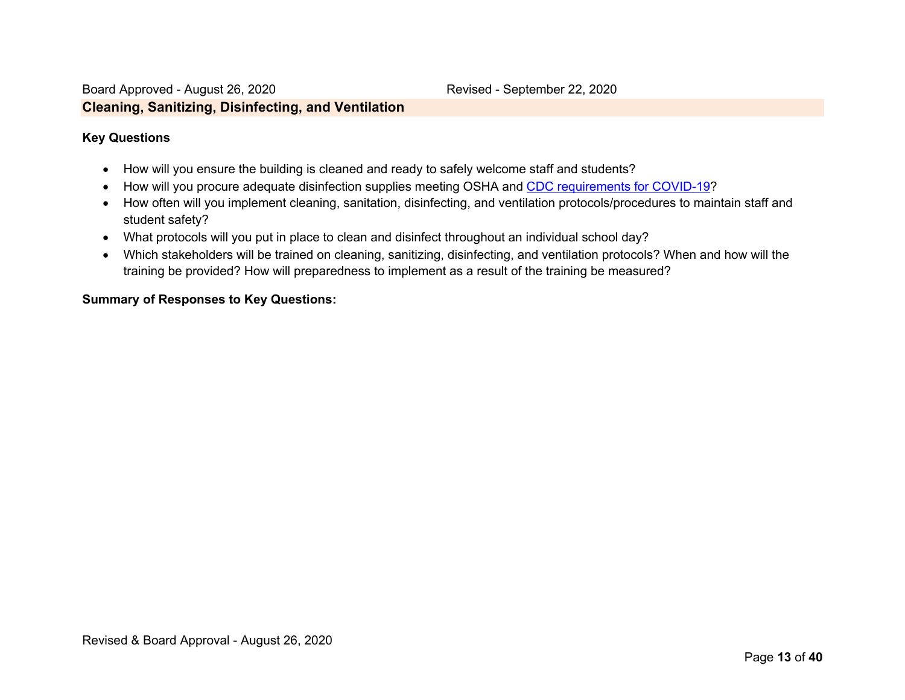### **Key Questions**

- How will you ensure the building is cleaned and ready to safely welcome staff and students?
- How will you procure adequate disinfection supplies meeting OSHA and CDC requirements for COVID-19?
- How often will you implement cleaning, sanitation, disinfecting, and ventilation protocols/procedures to maintain staff and student safety?
- What protocols will you put in place to clean and disinfect throughout an individual school day?
- Which stakeholders will be trained on cleaning, sanitizing, disinfecting, and ventilation protocols? When and how will the training be provided? How will preparedness to implement as a result of the training be measured?

### **Summary of Responses to Key Questions:**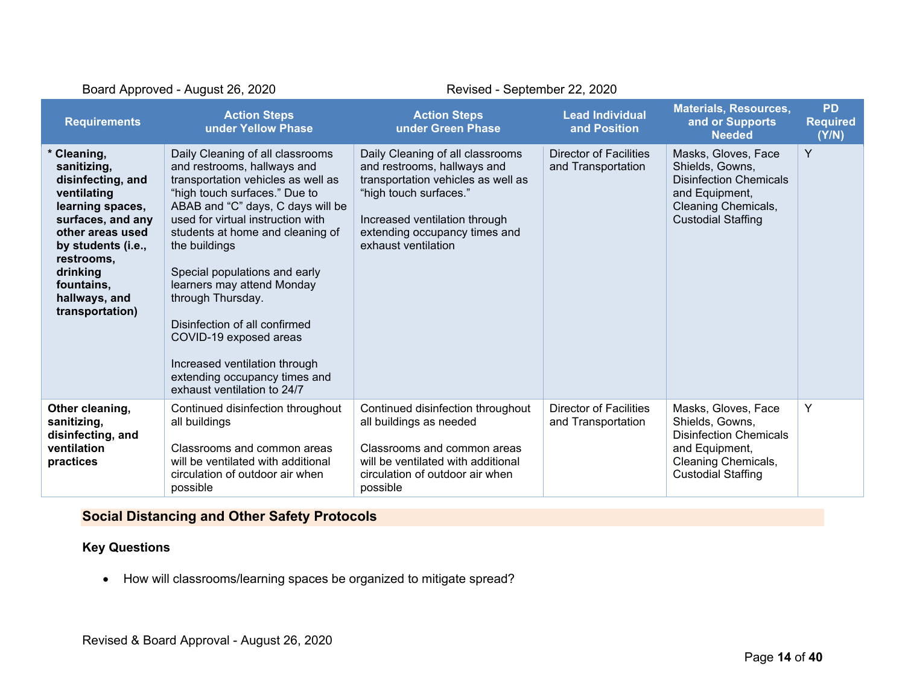| Board Approved - August 26, 2020                                                                                                                                                                                              |                                                                                                                                                                                                                                                                                                                                                                                                                                                                                                                       | Revised - September 22, 2020                                                                                                                                                                                             |                                                     |                                                                                                                                               |                                       |
|-------------------------------------------------------------------------------------------------------------------------------------------------------------------------------------------------------------------------------|-----------------------------------------------------------------------------------------------------------------------------------------------------------------------------------------------------------------------------------------------------------------------------------------------------------------------------------------------------------------------------------------------------------------------------------------------------------------------------------------------------------------------|--------------------------------------------------------------------------------------------------------------------------------------------------------------------------------------------------------------------------|-----------------------------------------------------|-----------------------------------------------------------------------------------------------------------------------------------------------|---------------------------------------|
| <b>Requirements</b>                                                                                                                                                                                                           | <b>Action Steps</b><br>under Yellow Phase                                                                                                                                                                                                                                                                                                                                                                                                                                                                             | <b>Action Steps</b><br>under Green Phase                                                                                                                                                                                 | <b>Lead Individual</b><br>and Position              | <b>Materials, Resources,</b><br>and or Supports<br><b>Needed</b>                                                                              | <b>PD</b><br><b>Required</b><br>(Y/N) |
| * Cleaning,<br>sanitizing,<br>disinfecting, and<br>ventilating<br>learning spaces,<br>surfaces, and any<br>other areas used<br>by students (i.e.,<br>restrooms.<br>drinking<br>fountains,<br>hallways, and<br>transportation) | Daily Cleaning of all classrooms<br>and restrooms, hallways and<br>transportation vehicles as well as<br>"high touch surfaces." Due to<br>ABAB and "C" days, C days will be<br>used for virtual instruction with<br>students at home and cleaning of<br>the buildings<br>Special populations and early<br>learners may attend Monday<br>through Thursday.<br>Disinfection of all confirmed<br>COVID-19 exposed areas<br>Increased ventilation through<br>extending occupancy times and<br>exhaust ventilation to 24/7 | Daily Cleaning of all classrooms<br>and restrooms, hallways and<br>transportation vehicles as well as<br>"high touch surfaces."<br>Increased ventilation through<br>extending occupancy times and<br>exhaust ventilation | <b>Director of Facilities</b><br>and Transportation | Masks, Gloves, Face<br>Shields, Gowns,<br><b>Disinfection Chemicals</b><br>and Equipment,<br>Cleaning Chemicals,<br><b>Custodial Staffing</b> | Y                                     |
| Other cleaning,<br>sanitizing,<br>disinfecting, and<br>ventilation<br>practices                                                                                                                                               | Continued disinfection throughout<br>all buildings<br>Classrooms and common areas<br>will be ventilated with additional<br>circulation of outdoor air when<br>possible                                                                                                                                                                                                                                                                                                                                                | Continued disinfection throughout<br>all buildings as needed<br>Classrooms and common areas<br>will be ventilated with additional<br>circulation of outdoor air when<br>possible                                         | Director of Facilities<br>and Transportation        | Masks, Gloves, Face<br>Shields, Gowns,<br><b>Disinfection Chemicals</b><br>and Equipment,<br>Cleaning Chemicals,<br><b>Custodial Staffing</b> | Y                                     |

# **Social Distancing and Other Safety Protocols**

### **Key Questions**

• How will classrooms/learning spaces be organized to mitigate spread?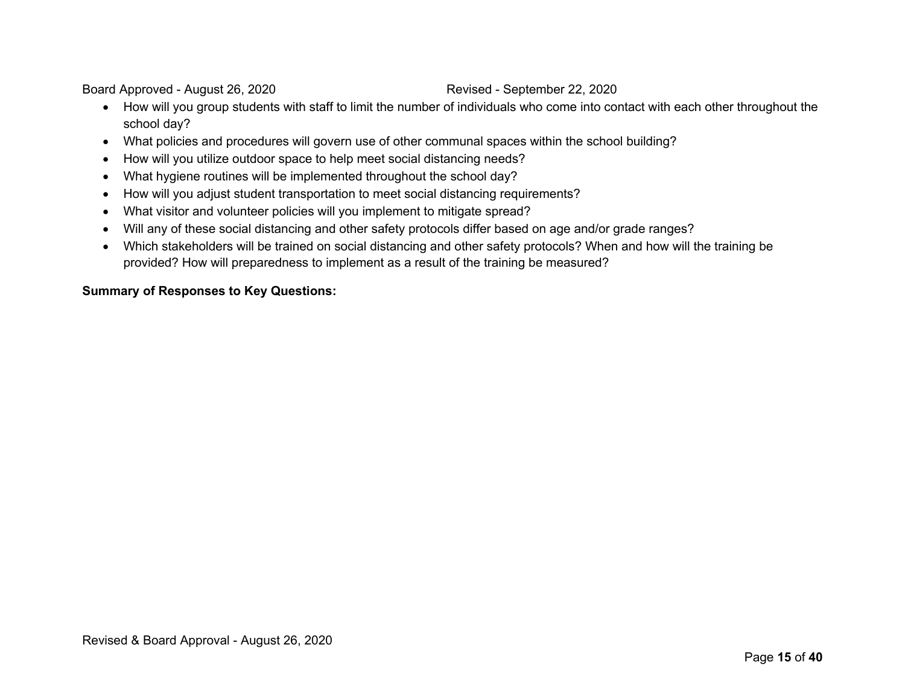- How will you group students with staff to limit the number of individuals who come into contact with each other throughout the school day?
- What policies and procedures will govern use of other communal spaces within the school building?
- How will you utilize outdoor space to help meet social distancing needs?
- What hygiene routines will be implemented throughout the school day?
- How will you adjust student transportation to meet social distancing requirements?
- What visitor and volunteer policies will you implement to mitigate spread?
- Will any of these social distancing and other safety protocols differ based on age and/or grade ranges?
- Which stakeholders will be trained on social distancing and other safety protocols? When and how will the training be provided? How will preparedness to implement as a result of the training be measured?

### **Summary of Responses to Key Questions:**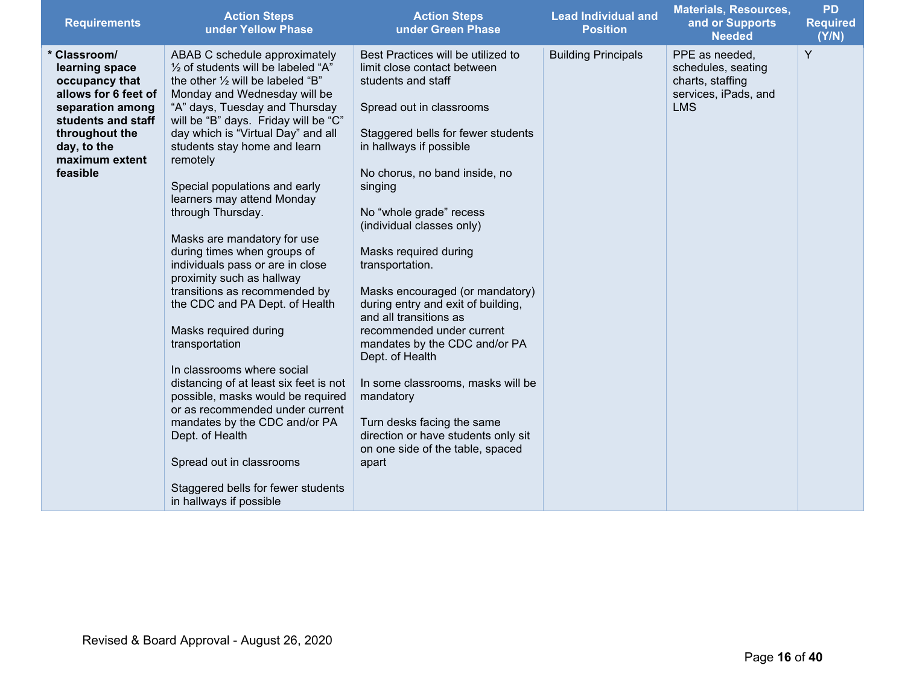| <b>Requirements</b>                                                                                                                                                               | <b>Action Steps</b><br>under Yellow Phase                                                                                                                                                                                                                                                                                                                                                                                                                                                                                                                                                                                                                                                                                                                                                                                                                                                                                                         | <b>Action Steps</b><br>under Green Phase                                                                                                                                                                                                                                                                                                                                                                                                                                                                                                                                                                                                                                                     | <b>Lead Individual and</b><br><b>Position</b> | <b>Materials, Resources,</b><br>and or Supports<br><b>Needed</b>                               | <b>PD</b><br><b>Required</b><br>(Y/N) |
|-----------------------------------------------------------------------------------------------------------------------------------------------------------------------------------|---------------------------------------------------------------------------------------------------------------------------------------------------------------------------------------------------------------------------------------------------------------------------------------------------------------------------------------------------------------------------------------------------------------------------------------------------------------------------------------------------------------------------------------------------------------------------------------------------------------------------------------------------------------------------------------------------------------------------------------------------------------------------------------------------------------------------------------------------------------------------------------------------------------------------------------------------|----------------------------------------------------------------------------------------------------------------------------------------------------------------------------------------------------------------------------------------------------------------------------------------------------------------------------------------------------------------------------------------------------------------------------------------------------------------------------------------------------------------------------------------------------------------------------------------------------------------------------------------------------------------------------------------------|-----------------------------------------------|------------------------------------------------------------------------------------------------|---------------------------------------|
| * Classroom/<br>learning space<br>occupancy that<br>allows for 6 feet of<br>separation among<br>students and staff<br>throughout the<br>day, to the<br>maximum extent<br>feasible | ABAB C schedule approximately<br>1/2 of students will be labeled "A"<br>the other $\frac{1}{2}$ will be labeled "B"<br>Monday and Wednesday will be<br>"A" days, Tuesday and Thursday<br>will be "B" days. Friday will be "C"<br>day which is "Virtual Day" and all<br>students stay home and learn<br>remotely<br>Special populations and early<br>learners may attend Monday<br>through Thursday.<br>Masks are mandatory for use<br>during times when groups of<br>individuals pass or are in close<br>proximity such as hallway<br>transitions as recommended by<br>the CDC and PA Dept. of Health<br>Masks required during<br>transportation<br>In classrooms where social<br>distancing of at least six feet is not<br>possible, masks would be required<br>or as recommended under current<br>mandates by the CDC and/or PA<br>Dept. of Health<br>Spread out in classrooms<br>Staggered bells for fewer students<br>in hallways if possible | Best Practices will be utilized to<br>limit close contact between<br>students and staff<br>Spread out in classrooms<br>Staggered bells for fewer students<br>in hallways if possible<br>No chorus, no band inside, no<br>singing<br>No "whole grade" recess<br>(individual classes only)<br>Masks required during<br>transportation.<br>Masks encouraged (or mandatory)<br>during entry and exit of building,<br>and all transitions as<br>recommended under current<br>mandates by the CDC and/or PA<br>Dept. of Health<br>In some classrooms, masks will be<br>mandatory<br>Turn desks facing the same<br>direction or have students only sit<br>on one side of the table, spaced<br>apart | <b>Building Principals</b>                    | PPE as needed,<br>schedules, seating<br>charts, staffing<br>services, iPads, and<br><b>LMS</b> | Y                                     |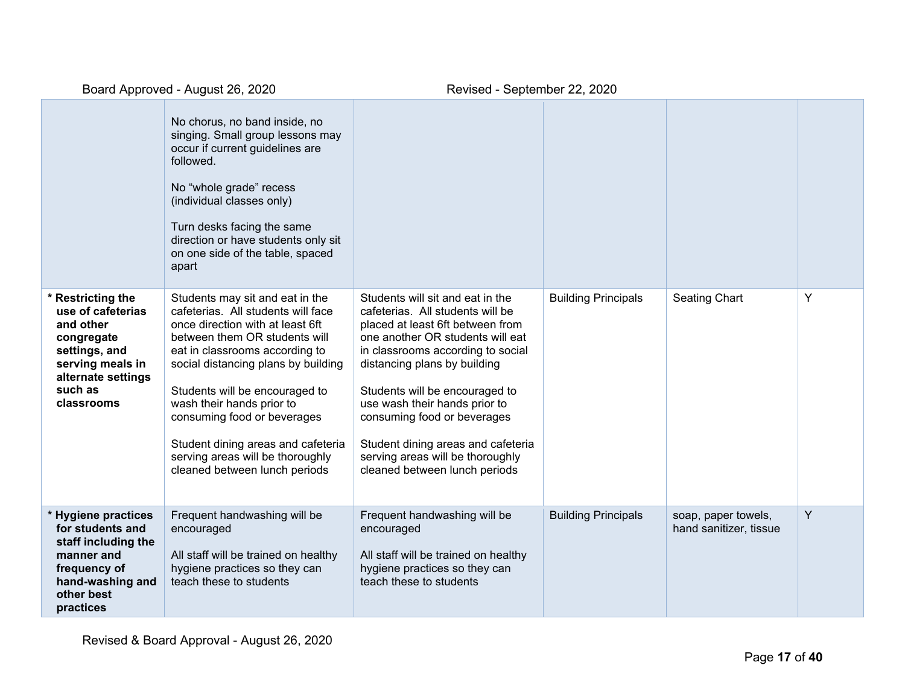|                                                                                                                                                       | No chorus, no band inside, no<br>singing. Small group lessons may<br>occur if current guidelines are<br>followed.<br>No "whole grade" recess<br>(individual classes only)<br>Turn desks facing the same<br>direction or have students only sit<br>on one side of the table, spaced<br>apart                                                                                                                                  |                                                                                                                                                                                                                                                                                                                                                                                                                                |                            |                                               |   |
|-------------------------------------------------------------------------------------------------------------------------------------------------------|------------------------------------------------------------------------------------------------------------------------------------------------------------------------------------------------------------------------------------------------------------------------------------------------------------------------------------------------------------------------------------------------------------------------------|--------------------------------------------------------------------------------------------------------------------------------------------------------------------------------------------------------------------------------------------------------------------------------------------------------------------------------------------------------------------------------------------------------------------------------|----------------------------|-----------------------------------------------|---|
| * Restricting the<br>use of cafeterias<br>and other<br>congregate<br>settings, and<br>serving meals in<br>alternate settings<br>such as<br>classrooms | Students may sit and eat in the<br>cafeterias. All students will face<br>once direction with at least 6ft<br>between them OR students will<br>eat in classrooms according to<br>social distancing plans by building<br>Students will be encouraged to<br>wash their hands prior to<br>consuming food or beverages<br>Student dining areas and cafeteria<br>serving areas will be thoroughly<br>cleaned between lunch periods | Students will sit and eat in the<br>cafeterias. All students will be<br>placed at least 6ft between from<br>one another OR students will eat<br>in classrooms according to social<br>distancing plans by building<br>Students will be encouraged to<br>use wash their hands prior to<br>consuming food or beverages<br>Student dining areas and cafeteria<br>serving areas will be thoroughly<br>cleaned between lunch periods | <b>Building Principals</b> | <b>Seating Chart</b>                          | Y |
| * Hygiene practices<br>for students and<br>staff including the<br>manner and<br>frequency of<br>hand-washing and<br>other best<br>practices           | Frequent handwashing will be<br>encouraged<br>All staff will be trained on healthy<br>hygiene practices so they can<br>teach these to students                                                                                                                                                                                                                                                                               | Frequent handwashing will be<br>encouraged<br>All staff will be trained on healthy<br>hygiene practices so they can<br>teach these to students                                                                                                                                                                                                                                                                                 | <b>Building Principals</b> | soap, paper towels,<br>hand sanitizer, tissue | Y |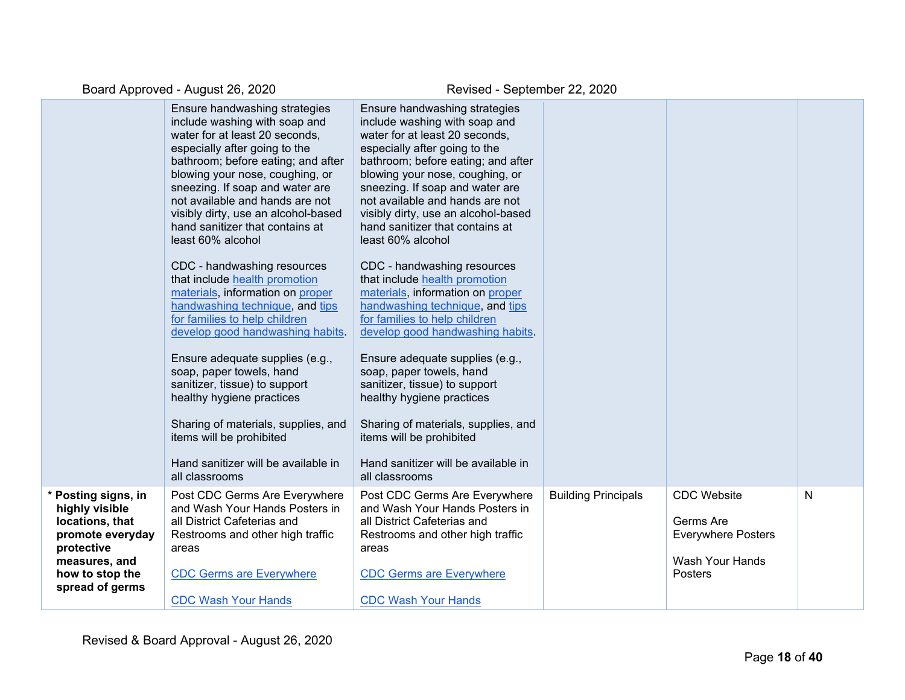|                                                                                                                                                   | Ensure handwashing strategies<br>include washing with soap and<br>water for at least 20 seconds,<br>especially after going to the<br>bathroom; before eating; and after<br>blowing your nose, coughing, or<br>sneezing. If soap and water are<br>not available and hands are not<br>visibly dirty, use an alcohol-based<br>hand sanitizer that contains at<br>least 60% alcohol<br>CDC - handwashing resources<br>that include health promotion<br>materials, information on proper<br>handwashing technique, and tips<br>for families to help children<br>develop good handwashing habits.<br>Ensure adequate supplies (e.g.,<br>soap, paper towels, hand<br>sanitizer, tissue) to support<br>healthy hygiene practices<br>Sharing of materials, supplies, and<br>items will be prohibited<br>Hand sanitizer will be available in<br>all classrooms | Ensure handwashing strategies<br>include washing with soap and<br>water for at least 20 seconds,<br>especially after going to the<br>bathroom; before eating; and after<br>blowing your nose, coughing, or<br>sneezing. If soap and water are<br>not available and hands are not<br>visibly dirty, use an alcohol-based<br>hand sanitizer that contains at<br>least 60% alcohol<br>CDC - handwashing resources<br>that include health promotion<br>materials, information on proper<br>handwashing technique, and tips<br>for families to help children<br>develop good handwashing habits.<br>Ensure adequate supplies (e.g.,<br>soap, paper towels, hand<br>sanitizer, tissue) to support<br>healthy hygiene practices<br>Sharing of materials, supplies, and<br>items will be prohibited<br>Hand sanitizer will be available in<br>all classrooms |                            |                                                                                            |   |
|---------------------------------------------------------------------------------------------------------------------------------------------------|------------------------------------------------------------------------------------------------------------------------------------------------------------------------------------------------------------------------------------------------------------------------------------------------------------------------------------------------------------------------------------------------------------------------------------------------------------------------------------------------------------------------------------------------------------------------------------------------------------------------------------------------------------------------------------------------------------------------------------------------------------------------------------------------------------------------------------------------------|------------------------------------------------------------------------------------------------------------------------------------------------------------------------------------------------------------------------------------------------------------------------------------------------------------------------------------------------------------------------------------------------------------------------------------------------------------------------------------------------------------------------------------------------------------------------------------------------------------------------------------------------------------------------------------------------------------------------------------------------------------------------------------------------------------------------------------------------------|----------------------------|--------------------------------------------------------------------------------------------|---|
| * Posting signs, in<br>highly visible<br>locations, that<br>promote everyday<br>protective<br>measures, and<br>how to stop the<br>spread of germs | Post CDC Germs Are Everywhere<br>and Wash Your Hands Posters in<br>all District Cafeterias and<br>Restrooms and other high traffic<br>areas<br><b>CDC Germs are Everywhere</b><br><b>CDC Wash Your Hands</b>                                                                                                                                                                                                                                                                                                                                                                                                                                                                                                                                                                                                                                         | Post CDC Germs Are Everywhere<br>and Wash Your Hands Posters in<br>all District Cafeterias and<br>Restrooms and other high traffic<br>areas<br><b>CDC Germs are Everywhere</b><br><b>CDC Wash Your Hands</b>                                                                                                                                                                                                                                                                                                                                                                                                                                                                                                                                                                                                                                         | <b>Building Principals</b> | <b>CDC</b> Website<br>Germs Are<br><b>Everywhere Posters</b><br>Wash Your Hands<br>Posters | N |
|                                                                                                                                                   |                                                                                                                                                                                                                                                                                                                                                                                                                                                                                                                                                                                                                                                                                                                                                                                                                                                      |                                                                                                                                                                                                                                                                                                                                                                                                                                                                                                                                                                                                                                                                                                                                                                                                                                                      |                            |                                                                                            |   |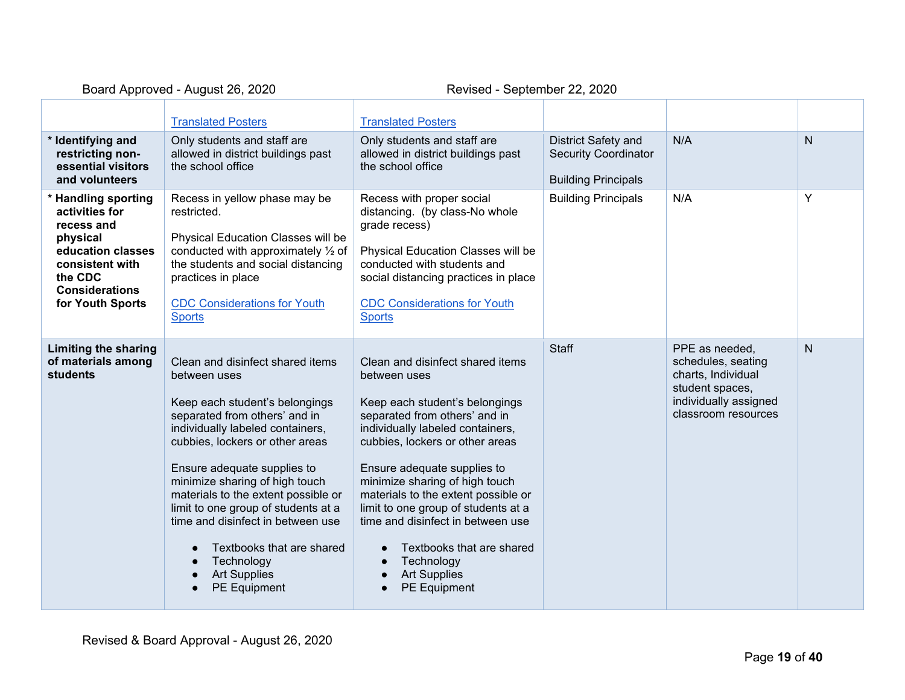|                                                                                                                                                                 | <b>Translated Posters</b>                                                                                                                                                                                                                                                                                                                                                                                                                                        | <b>Translated Posters</b>                                                                                                                                                                                                                                                                                                                                                                                                                                               |                                                                                  |                                                                                                                               |                |
|-----------------------------------------------------------------------------------------------------------------------------------------------------------------|------------------------------------------------------------------------------------------------------------------------------------------------------------------------------------------------------------------------------------------------------------------------------------------------------------------------------------------------------------------------------------------------------------------------------------------------------------------|-------------------------------------------------------------------------------------------------------------------------------------------------------------------------------------------------------------------------------------------------------------------------------------------------------------------------------------------------------------------------------------------------------------------------------------------------------------------------|----------------------------------------------------------------------------------|-------------------------------------------------------------------------------------------------------------------------------|----------------|
| * Identifying and<br>restricting non-<br>essential visitors<br>and volunteers                                                                                   | Only students and staff are<br>allowed in district buildings past<br>the school office                                                                                                                                                                                                                                                                                                                                                                           | Only students and staff are<br>allowed in district buildings past<br>the school office                                                                                                                                                                                                                                                                                                                                                                                  | District Safety and<br><b>Security Coordinator</b><br><b>Building Principals</b> | N/A                                                                                                                           | $\overline{N}$ |
| * Handling sporting<br>activities for<br>recess and<br>physical<br>education classes<br>consistent with<br>the CDC<br><b>Considerations</b><br>for Youth Sports | Recess in yellow phase may be<br>restricted.<br>Physical Education Classes will be<br>conducted with approximately 1/2 of<br>the students and social distancing<br>practices in place<br><b>CDC Considerations for Youth</b><br><b>Sports</b>                                                                                                                                                                                                                    | Recess with proper social<br>distancing. (by class-No whole<br>grade recess)<br>Physical Education Classes will be<br>conducted with students and<br>social distancing practices in place<br><b>CDC Considerations for Youth</b><br><b>Sports</b>                                                                                                                                                                                                                       | <b>Building Principals</b>                                                       | N/A                                                                                                                           | Y              |
| <b>Limiting the sharing</b><br>of materials among<br>students                                                                                                   | Clean and disinfect shared items<br>between uses<br>Keep each student's belongings<br>separated from others' and in<br>individually labeled containers,<br>cubbies, lockers or other areas<br>Ensure adequate supplies to<br>minimize sharing of high touch<br>materials to the extent possible or<br>limit to one group of students at a<br>time and disinfect in between use<br>Textbooks that are shared<br>Technology<br><b>Art Supplies</b><br>PE Equipment | Clean and disinfect shared items<br>between uses<br>Keep each student's belongings<br>separated from others' and in<br>individually labeled containers,<br>cubbies, lockers or other areas<br>Ensure adequate supplies to<br>minimize sharing of high touch<br>materials to the extent possible or<br>limit to one group of students at a<br>time and disinfect in between use<br>Textbooks that are shared<br>Technology<br><b>Art Supplies</b><br><b>PE Equipment</b> | <b>Staff</b>                                                                     | PPE as needed,<br>schedules, seating<br>charts, Individual<br>student spaces,<br>individually assigned<br>classroom resources | $\mathsf{N}$   |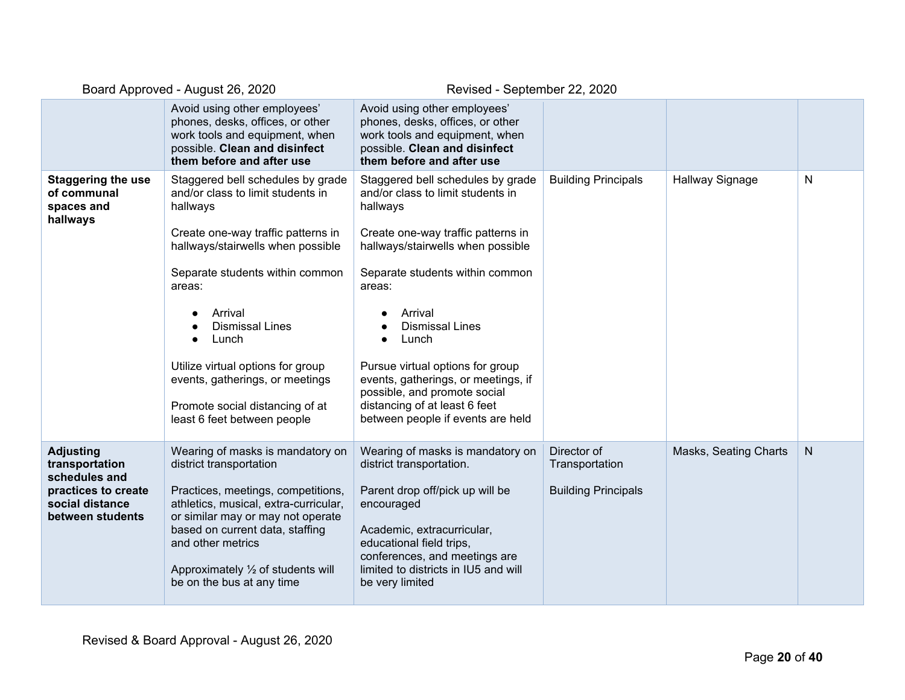|                                                                                                                   | Board Approved - August 26, 2020                                                                                                                                                                                                                                                                                                                                                                   | Revised - September 22, 2020                                                                                                                                                                                                                                                                                                                                                                                                              |                                                             |                       |              |
|-------------------------------------------------------------------------------------------------------------------|----------------------------------------------------------------------------------------------------------------------------------------------------------------------------------------------------------------------------------------------------------------------------------------------------------------------------------------------------------------------------------------------------|-------------------------------------------------------------------------------------------------------------------------------------------------------------------------------------------------------------------------------------------------------------------------------------------------------------------------------------------------------------------------------------------------------------------------------------------|-------------------------------------------------------------|-----------------------|--------------|
|                                                                                                                   | Avoid using other employees'<br>phones, desks, offices, or other<br>work tools and equipment, when<br>possible. Clean and disinfect<br>them before and after use                                                                                                                                                                                                                                   | Avoid using other employees'<br>phones, desks, offices, or other<br>work tools and equipment, when<br>possible. Clean and disinfect<br>them before and after use                                                                                                                                                                                                                                                                          |                                                             |                       |              |
| <b>Staggering the use</b><br>of communal<br>spaces and<br>hallways                                                | Staggered bell schedules by grade<br>and/or class to limit students in<br>hallways<br>Create one-way traffic patterns in<br>hallways/stairwells when possible<br>Separate students within common<br>areas:<br>Arrival<br><b>Dismissal Lines</b><br>Lunch<br>Utilize virtual options for group<br>events, gatherings, or meetings<br>Promote social distancing of at<br>least 6 feet between people | Staggered bell schedules by grade<br>and/or class to limit students in<br>hallways<br>Create one-way traffic patterns in<br>hallways/stairwells when possible<br>Separate students within common<br>areas:<br>Arrival<br><b>Dismissal Lines</b><br>Lunch<br>Pursue virtual options for group<br>events, gatherings, or meetings, if<br>possible, and promote social<br>distancing of at least 6 feet<br>between people if events are held | <b>Building Principals</b>                                  | Hallway Signage       | $\mathsf{N}$ |
| <b>Adjusting</b><br>transportation<br>schedules and<br>practices to create<br>social distance<br>between students | Wearing of masks is mandatory on<br>district transportation<br>Practices, meetings, competitions,<br>athletics, musical, extra-curricular,<br>or similar may or may not operate<br>based on current data, staffing<br>and other metrics<br>Approximately $\frac{1}{2}$ of students will<br>be on the bus at any time                                                                               | Wearing of masks is mandatory on<br>district transportation.<br>Parent drop off/pick up will be<br>encouraged<br>Academic, extracurricular,<br>educational field trips,<br>conferences, and meetings are<br>limited to districts in IU5 and will<br>be very limited                                                                                                                                                                       | Director of<br>Transportation<br><b>Building Principals</b> | Masks, Seating Charts | N            |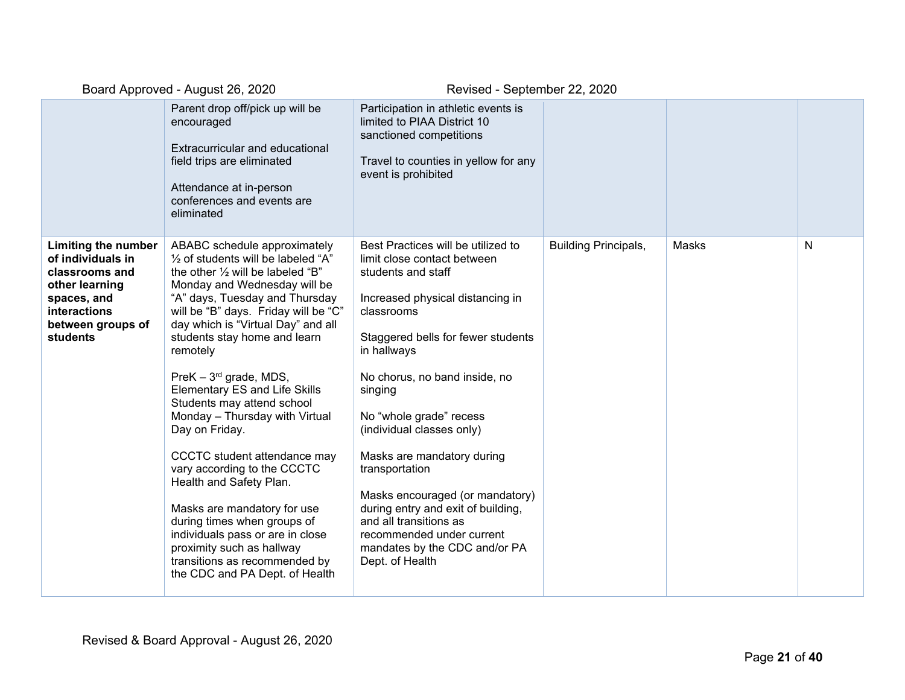|                                                                                                                                              | Parent drop off/pick up will be<br>encouraged<br>Extracurricular and educational<br>field trips are eliminated<br>Attendance at in-person<br>conferences and events are<br>eliminated                                                                                                                                                                                                                                                                                                                                                                                                                                                                                                                                                                              | Participation in athletic events is<br>limited to PIAA District 10<br>sanctioned competitions<br>Travel to counties in yellow for any<br>event is prohibited                                                                                                                                                                                                                                                                                                                                                                           |                             |       |   |
|----------------------------------------------------------------------------------------------------------------------------------------------|--------------------------------------------------------------------------------------------------------------------------------------------------------------------------------------------------------------------------------------------------------------------------------------------------------------------------------------------------------------------------------------------------------------------------------------------------------------------------------------------------------------------------------------------------------------------------------------------------------------------------------------------------------------------------------------------------------------------------------------------------------------------|----------------------------------------------------------------------------------------------------------------------------------------------------------------------------------------------------------------------------------------------------------------------------------------------------------------------------------------------------------------------------------------------------------------------------------------------------------------------------------------------------------------------------------------|-----------------------------|-------|---|
| Limiting the number<br>of individuals in<br>classrooms and<br>other learning<br>spaces, and<br>interactions<br>between groups of<br>students | ABABC schedule approximately<br>1/2 of students will be labeled "A"<br>the other $\frac{1}{2}$ will be labeled "B"<br>Monday and Wednesday will be<br>"A" days, Tuesday and Thursday<br>will be "B" days. Friday will be "C"<br>day which is "Virtual Day" and all<br>students stay home and learn<br>remotely<br>PreK $-3^{rd}$ grade, MDS,<br><b>Elementary ES and Life Skills</b><br>Students may attend school<br>Monday - Thursday with Virtual<br>Day on Friday.<br>CCCTC student attendance may<br>vary according to the CCCTC<br>Health and Safety Plan.<br>Masks are mandatory for use<br>during times when groups of<br>individuals pass or are in close<br>proximity such as hallway<br>transitions as recommended by<br>the CDC and PA Dept. of Health | Best Practices will be utilized to<br>limit close contact between<br>students and staff<br>Increased physical distancing in<br>classrooms<br>Staggered bells for fewer students<br>in hallways<br>No chorus, no band inside, no<br>singing<br>No "whole grade" recess<br>(individual classes only)<br>Masks are mandatory during<br>transportation<br>Masks encouraged (or mandatory)<br>during entry and exit of building,<br>and all transitions as<br>recommended under current<br>mandates by the CDC and/or PA<br>Dept. of Health | <b>Building Principals,</b> | Masks | N |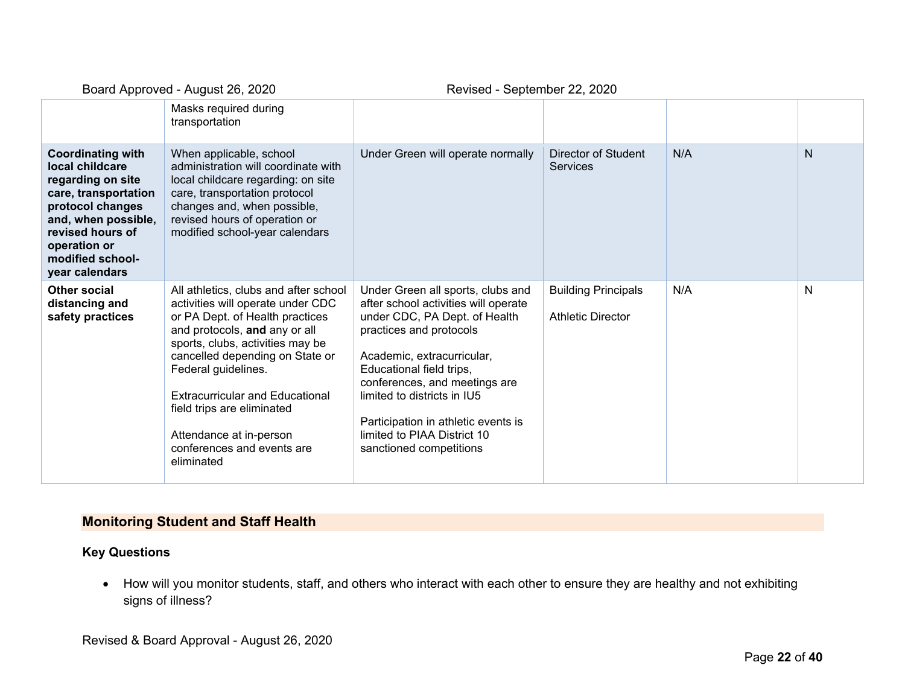| <u>2001 a <i>T</i>eprovoa</u> Tagao: 20, 2020                                                                                                                                                                 |                                                                                                                                                                                                                                                                                                                                                                                             | $1.011000$ coptompor $E E$ , $E 0E 0$                                                                                                                                                                                                                                                                                                                            |                                                        |     |   |
|---------------------------------------------------------------------------------------------------------------------------------------------------------------------------------------------------------------|---------------------------------------------------------------------------------------------------------------------------------------------------------------------------------------------------------------------------------------------------------------------------------------------------------------------------------------------------------------------------------------------|------------------------------------------------------------------------------------------------------------------------------------------------------------------------------------------------------------------------------------------------------------------------------------------------------------------------------------------------------------------|--------------------------------------------------------|-----|---|
|                                                                                                                                                                                                               | Masks required during<br>transportation                                                                                                                                                                                                                                                                                                                                                     |                                                                                                                                                                                                                                                                                                                                                                  |                                                        |     |   |
| <b>Coordinating with</b><br>local childcare<br>regarding on site<br>care, transportation<br>protocol changes<br>and, when possible,<br>revised hours of<br>operation or<br>modified school-<br>year calendars | When applicable, school<br>administration will coordinate with<br>local childcare regarding: on site<br>care, transportation protocol<br>changes and, when possible,<br>revised hours of operation or<br>modified school-year calendars                                                                                                                                                     | Under Green will operate normally                                                                                                                                                                                                                                                                                                                                | Director of Student<br><b>Services</b>                 | N/A | N |
| Other social<br>distancing and<br>safety practices                                                                                                                                                            | All athletics, clubs and after school<br>activities will operate under CDC<br>or PA Dept. of Health practices<br>and protocols, and any or all<br>sports, clubs, activities may be<br>cancelled depending on State or<br>Federal guidelines.<br><b>Extracurricular and Educational</b><br>field trips are eliminated<br>Attendance at in-person<br>conferences and events are<br>eliminated | Under Green all sports, clubs and<br>after school activities will operate<br>under CDC, PA Dept. of Health<br>practices and protocols<br>Academic, extracurricular,<br>Educational field trips,<br>conferences, and meetings are<br>limited to districts in IU5<br>Participation in athletic events is<br>limited to PIAA District 10<br>sanctioned competitions | <b>Building Principals</b><br><b>Athletic Director</b> | N/A | N |

### **Monitoring Student and Staff Health**

### **Key Questions**

• How will you monitor students, staff, and others who interact with each other to ensure they are healthy and not exhibiting signs of illness?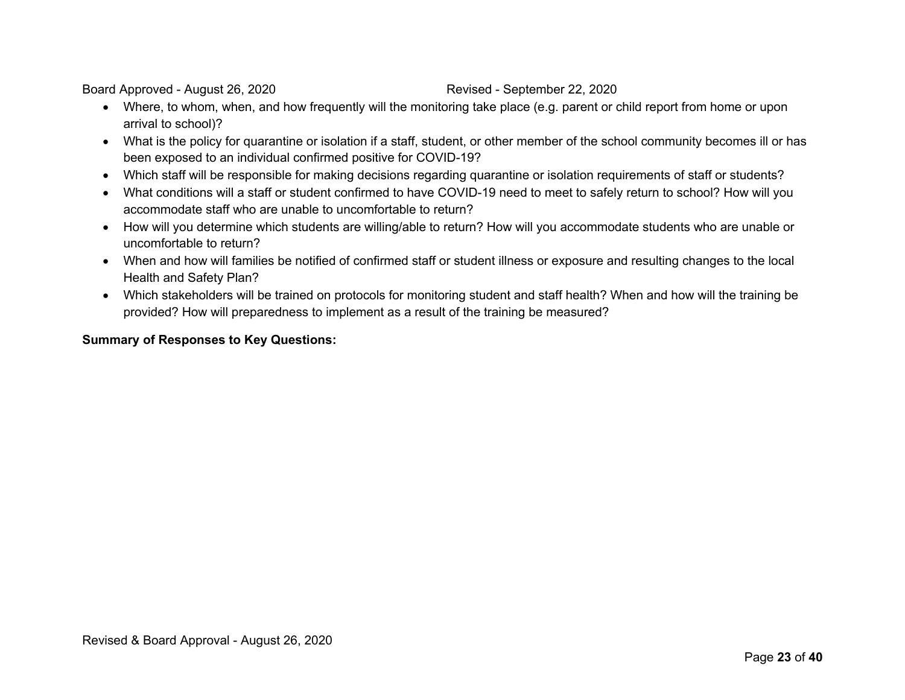- Where, to whom, when, and how frequently will the monitoring take place (e.g. parent or child report from home or upon arrival to school)?
- What is the policy for quarantine or isolation if a staff, student, or other member of the school community becomes ill or has been exposed to an individual confirmed positive for COVID-19?
- Which staff will be responsible for making decisions regarding quarantine or isolation requirements of staff or students?
- What conditions will a staff or student confirmed to have COVID-19 need to meet to safely return to school? How will you accommodate staff who are unable to uncomfortable to return?
- How will you determine which students are willing/able to return? How will you accommodate students who are unable or uncomfortable to return?
- When and how will families be notified of confirmed staff or student illness or exposure and resulting changes to the local Health and Safety Plan?
- Which stakeholders will be trained on protocols for monitoring student and staff health? When and how will the training be provided? How will preparedness to implement as a result of the training be measured?

### **Summary of Responses to Key Questions:**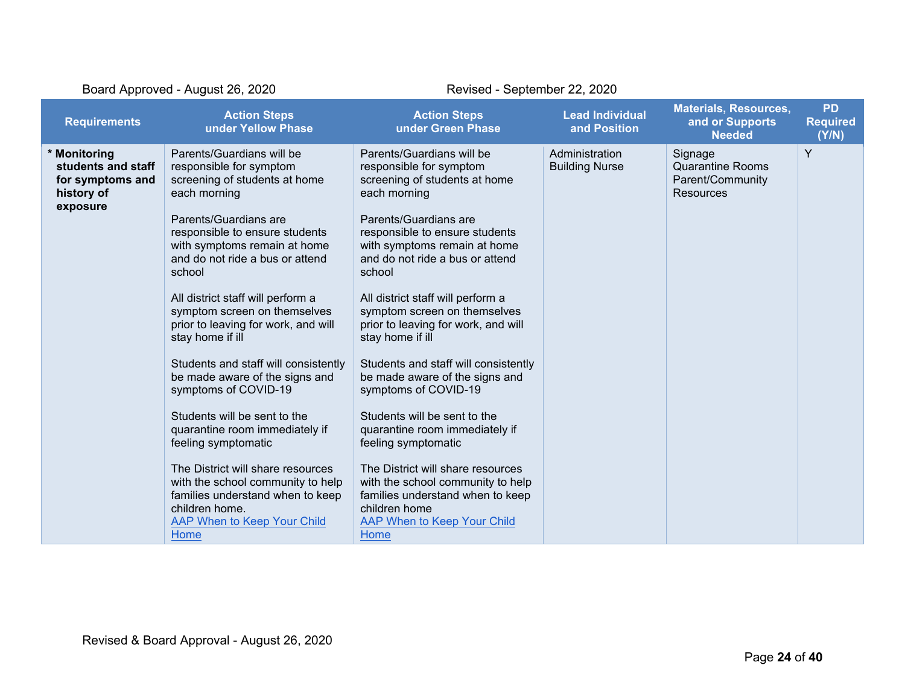| Board Approved - August 26, 2020                                                 |                                                                                                                                                                                                                                                                                                                                                                                                                                                                                                                                                                                                                                                                                                                                                 | Revised - September 22, 2020                                                                                                                                                                                                                                                                                                                                                                                                                                                                                                                                                                                                                                                                                                                   |                                         |                                                                     |                                       |
|----------------------------------------------------------------------------------|-------------------------------------------------------------------------------------------------------------------------------------------------------------------------------------------------------------------------------------------------------------------------------------------------------------------------------------------------------------------------------------------------------------------------------------------------------------------------------------------------------------------------------------------------------------------------------------------------------------------------------------------------------------------------------------------------------------------------------------------------|------------------------------------------------------------------------------------------------------------------------------------------------------------------------------------------------------------------------------------------------------------------------------------------------------------------------------------------------------------------------------------------------------------------------------------------------------------------------------------------------------------------------------------------------------------------------------------------------------------------------------------------------------------------------------------------------------------------------------------------------|-----------------------------------------|---------------------------------------------------------------------|---------------------------------------|
| <b>Requirements</b>                                                              | <b>Action Steps</b><br>under Yellow Phase                                                                                                                                                                                                                                                                                                                                                                                                                                                                                                                                                                                                                                                                                                       | <b>Action Steps</b><br>under Green Phase                                                                                                                                                                                                                                                                                                                                                                                                                                                                                                                                                                                                                                                                                                       | <b>Lead Individual</b><br>and Position  | <b>Materials, Resources,</b><br>and or Supports<br><b>Needed</b>    | <b>PD</b><br><b>Required</b><br>(Y/N) |
| * Monitoring<br>students and staff<br>for symptoms and<br>history of<br>exposure | Parents/Guardians will be<br>responsible for symptom<br>screening of students at home<br>each morning<br>Parents/Guardians are<br>responsible to ensure students<br>with symptoms remain at home<br>and do not ride a bus or attend<br>school<br>All district staff will perform a<br>symptom screen on themselves<br>prior to leaving for work, and will<br>stay home if ill<br>Students and staff will consistently<br>be made aware of the signs and<br>symptoms of COVID-19<br>Students will be sent to the<br>quarantine room immediately if<br>feeling symptomatic<br>The District will share resources<br>with the school community to help<br>families understand when to keep<br>children home.<br>AAP When to Keep Your Child<br>Home | Parents/Guardians will be<br>responsible for symptom<br>screening of students at home<br>each morning<br>Parents/Guardians are<br>responsible to ensure students<br>with symptoms remain at home<br>and do not ride a bus or attend<br>school<br>All district staff will perform a<br>symptom screen on themselves<br>prior to leaving for work, and will<br>stay home if ill<br>Students and staff will consistently<br>be made aware of the signs and<br>symptoms of COVID-19<br>Students will be sent to the<br>quarantine room immediately if<br>feeling symptomatic<br>The District will share resources<br>with the school community to help<br>families understand when to keep<br>children home<br>AAP When to Keep Your Child<br>Home | Administration<br><b>Building Nurse</b> | Signage<br><b>Quarantine Rooms</b><br>Parent/Community<br>Resources | Y                                     |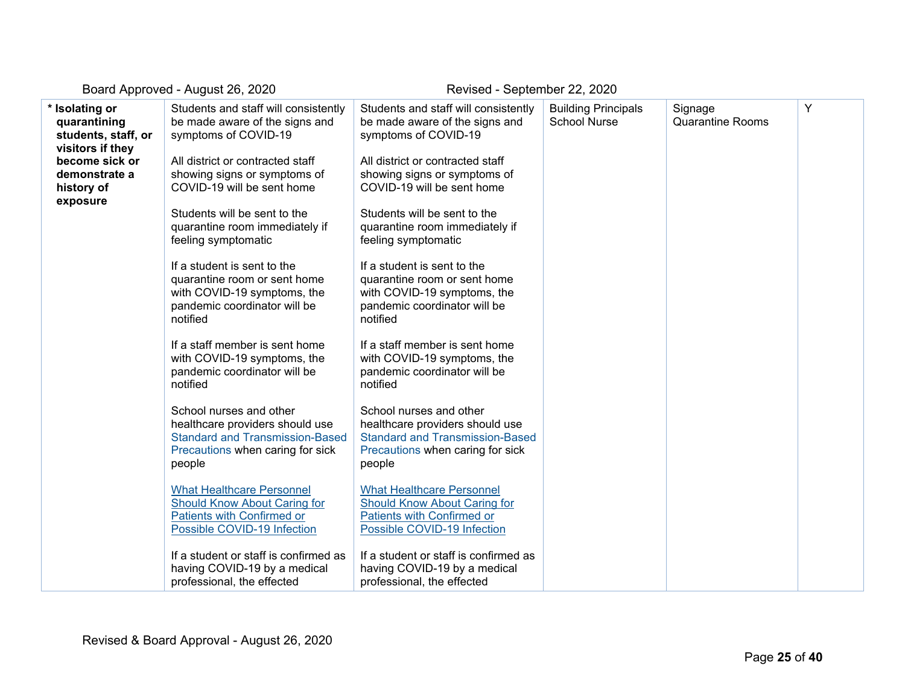| * Isolating or<br>quarantining<br>students, staff, or<br>visitors if they<br>become sick or<br>demonstrate a<br>history of<br>exposure | Students and staff will consistently<br>be made aware of the signs and<br>symptoms of COVID-19<br>All district or contracted staff<br>showing signs or symptoms of<br>COVID-19 will be sent home<br>Students will be sent to the<br>quarantine room immediately if<br>feeling symptomatic<br>If a student is sent to the<br>quarantine room or sent home<br>with COVID-19 symptoms, the<br>pandemic coordinator will be | Students and staff will consistently<br>be made aware of the signs and<br>symptoms of COVID-19<br>All district or contracted staff<br>showing signs or symptoms of<br>COVID-19 will be sent home<br>Students will be sent to the<br>quarantine room immediately if<br>feeling symptomatic<br>If a student is sent to the<br>quarantine room or sent home<br>with COVID-19 symptoms, the<br>pandemic coordinator will be | <b>Building Principals</b><br><b>School Nurse</b> | Signage<br>Quarantine Rooms | Υ |
|----------------------------------------------------------------------------------------------------------------------------------------|-------------------------------------------------------------------------------------------------------------------------------------------------------------------------------------------------------------------------------------------------------------------------------------------------------------------------------------------------------------------------------------------------------------------------|-------------------------------------------------------------------------------------------------------------------------------------------------------------------------------------------------------------------------------------------------------------------------------------------------------------------------------------------------------------------------------------------------------------------------|---------------------------------------------------|-----------------------------|---|
|                                                                                                                                        | notified<br>If a staff member is sent home<br>with COVID-19 symptoms, the<br>pandemic coordinator will be<br>notified<br>School nurses and other<br>healthcare providers should use<br><b>Standard and Transmission-Based</b><br>Precautions when caring for sick<br>people                                                                                                                                             | notified<br>If a staff member is sent home<br>with COVID-19 symptoms, the<br>pandemic coordinator will be<br>notified<br>School nurses and other<br>healthcare providers should use<br><b>Standard and Transmission-Based</b><br>Precautions when caring for sick<br>people                                                                                                                                             |                                                   |                             |   |
|                                                                                                                                        | <b>What Healthcare Personnel</b><br>Should Know About Caring for<br>Patients with Confirmed or<br>Possible COVID-19 Infection<br>If a student or staff is confirmed as<br>having COVID-19 by a medical<br>professional, the effected                                                                                                                                                                                    | <b>What Healthcare Personnel</b><br>Should Know About Caring for<br>Patients with Confirmed or<br>Possible COVID-19 Infection<br>If a student or staff is confirmed as<br>having COVID-19 by a medical<br>professional, the effected                                                                                                                                                                                    |                                                   |                             |   |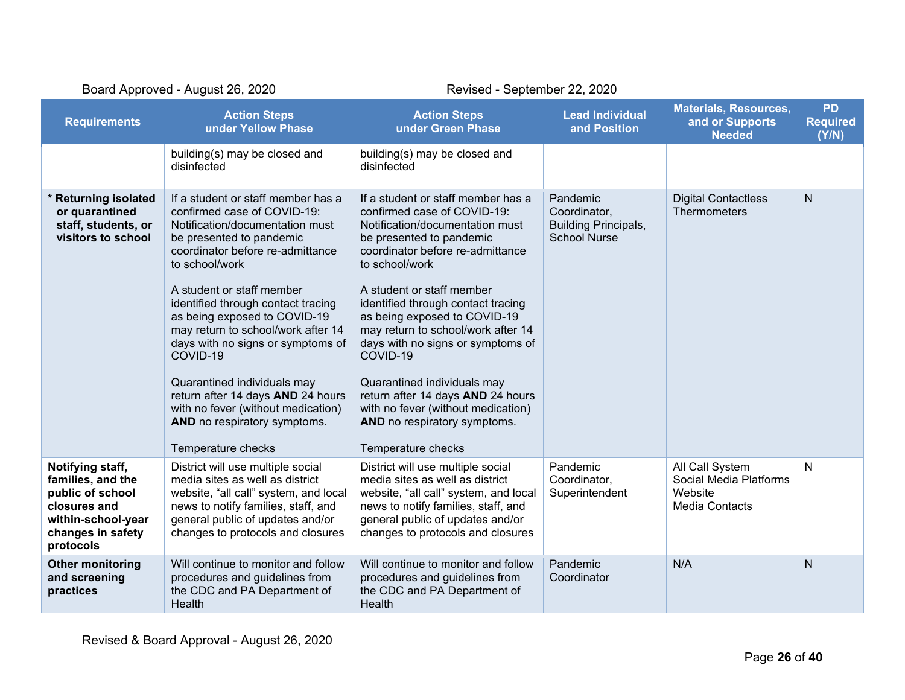| Board Approved - August 26, 2020                                                                                                  |                                                                                                                                                                                                                                                                                                                                                                                                                                                                                                                                                  | Revised - September 22, 2020                                                                                                                                                                                                                                                                                                                                                                                                                                                                                                                     |                                                                                |                                                                               |                                       |
|-----------------------------------------------------------------------------------------------------------------------------------|--------------------------------------------------------------------------------------------------------------------------------------------------------------------------------------------------------------------------------------------------------------------------------------------------------------------------------------------------------------------------------------------------------------------------------------------------------------------------------------------------------------------------------------------------|--------------------------------------------------------------------------------------------------------------------------------------------------------------------------------------------------------------------------------------------------------------------------------------------------------------------------------------------------------------------------------------------------------------------------------------------------------------------------------------------------------------------------------------------------|--------------------------------------------------------------------------------|-------------------------------------------------------------------------------|---------------------------------------|
| <b>Requirements</b>                                                                                                               | <b>Action Steps</b><br>under Yellow Phase                                                                                                                                                                                                                                                                                                                                                                                                                                                                                                        | <b>Action Steps</b><br>under Green Phase                                                                                                                                                                                                                                                                                                                                                                                                                                                                                                         | <b>Lead Individual</b><br>and Position                                         | <b>Materials, Resources,</b><br>and or Supports<br><b>Needed</b>              | <b>PD</b><br><b>Required</b><br>(Y/N) |
|                                                                                                                                   | building(s) may be closed and<br>disinfected                                                                                                                                                                                                                                                                                                                                                                                                                                                                                                     | building(s) may be closed and<br>disinfected                                                                                                                                                                                                                                                                                                                                                                                                                                                                                                     |                                                                                |                                                                               |                                       |
| * Returning isolated<br>or quarantined<br>staff, students, or<br>visitors to school                                               | If a student or staff member has a<br>confirmed case of COVID-19:<br>Notification/documentation must<br>be presented to pandemic<br>coordinator before re-admittance<br>to school/work<br>A student or staff member<br>identified through contact tracing<br>as being exposed to COVID-19<br>may return to school/work after 14<br>days with no signs or symptoms of<br>COVID-19<br>Quarantined individuals may<br>return after 14 days AND 24 hours<br>with no fever (without medication)<br>AND no respiratory symptoms.<br>Temperature checks | If a student or staff member has a<br>confirmed case of COVID-19:<br>Notification/documentation must<br>be presented to pandemic<br>coordinator before re-admittance<br>to school/work<br>A student or staff member<br>identified through contact tracing<br>as being exposed to COVID-19<br>may return to school/work after 14<br>days with no signs or symptoms of<br>COVID-19<br>Quarantined individuals may<br>return after 14 days AND 24 hours<br>with no fever (without medication)<br>AND no respiratory symptoms.<br>Temperature checks | Pandemic<br>Coordinator,<br><b>Building Principals,</b><br><b>School Nurse</b> | <b>Digital Contactless</b><br><b>Thermometers</b>                             | N                                     |
| Notifying staff,<br>families, and the<br>public of school<br>closures and<br>within-school-year<br>changes in safety<br>protocols | District will use multiple social<br>media sites as well as district<br>website, "all call" system, and local<br>news to notify families, staff, and<br>general public of updates and/or<br>changes to protocols and closures                                                                                                                                                                                                                                                                                                                    | District will use multiple social<br>media sites as well as district<br>website, "all call" system, and local<br>news to notify families, staff, and<br>general public of updates and/or<br>changes to protocols and closures                                                                                                                                                                                                                                                                                                                    | Pandemic<br>Coordinator,<br>Superintendent                                     | All Call System<br>Social Media Platforms<br>Website<br><b>Media Contacts</b> | $\mathsf{N}$                          |
| <b>Other monitoring</b><br>and screening<br>practices                                                                             | Will continue to monitor and follow<br>procedures and guidelines from<br>the CDC and PA Department of<br>Health                                                                                                                                                                                                                                                                                                                                                                                                                                  | Will continue to monitor and follow<br>procedures and guidelines from<br>the CDC and PA Department of<br>Health                                                                                                                                                                                                                                                                                                                                                                                                                                  | Pandemic<br>Coordinator                                                        | N/A                                                                           | N                                     |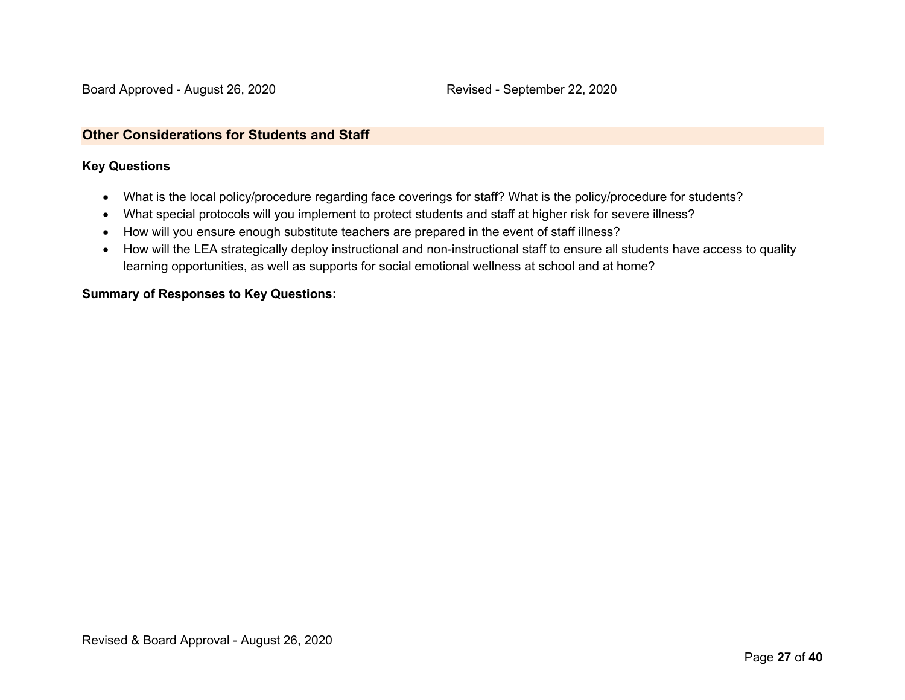### **Other Considerations for Students and Staff**

### **Key Questions**

- What is the local policy/procedure regarding face coverings for staff? What is the policy/procedure for students?
- What special protocols will you implement to protect students and staff at higher risk for severe illness?
- How will you ensure enough substitute teachers are prepared in the event of staff illness?
- How will the LEA strategically deploy instructional and non-instructional staff to ensure all students have access to quality learning opportunities, as well as supports for social emotional wellness at school and at home?

### **Summary of Responses to Key Questions:**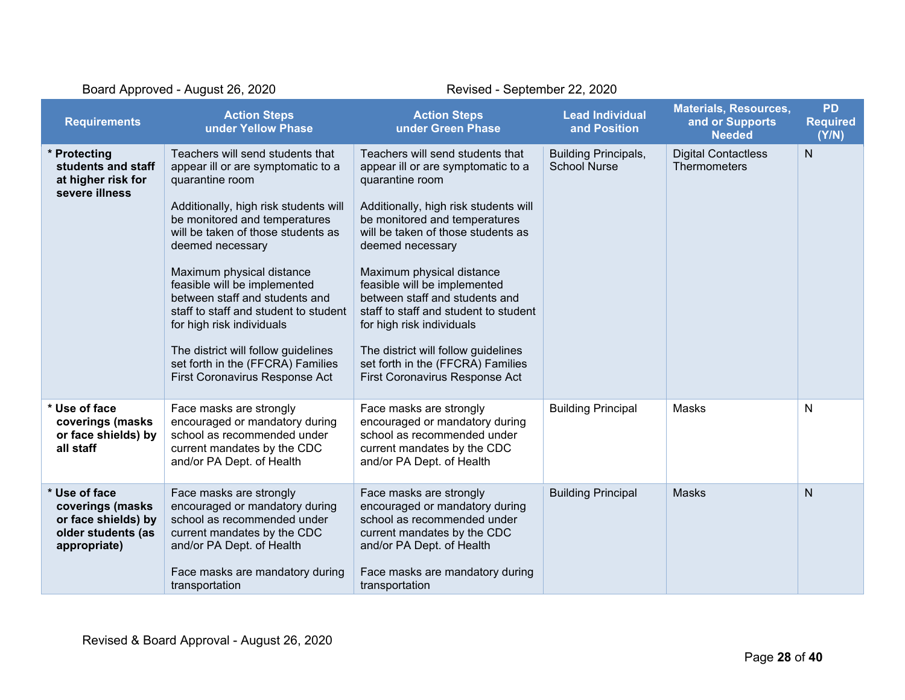| Board Approved - August 26, 2020                                                               |                                                                                                                                                                                                                                                                                                                                                                                                                                                                                                                  | Revised - September 22, 2020                                                                                                                                                                                                                                                                                                                                                                                                                                                                                     |                                                    |                                                                  |                                       |
|------------------------------------------------------------------------------------------------|------------------------------------------------------------------------------------------------------------------------------------------------------------------------------------------------------------------------------------------------------------------------------------------------------------------------------------------------------------------------------------------------------------------------------------------------------------------------------------------------------------------|------------------------------------------------------------------------------------------------------------------------------------------------------------------------------------------------------------------------------------------------------------------------------------------------------------------------------------------------------------------------------------------------------------------------------------------------------------------------------------------------------------------|----------------------------------------------------|------------------------------------------------------------------|---------------------------------------|
| <b>Requirements</b>                                                                            | <b>Action Steps</b><br>under Yellow Phase                                                                                                                                                                                                                                                                                                                                                                                                                                                                        | <b>Action Steps</b><br>under Green Phase                                                                                                                                                                                                                                                                                                                                                                                                                                                                         | <b>Lead Individual</b><br>and Position             | <b>Materials, Resources,</b><br>and or Supports<br><b>Needed</b> | <b>PD</b><br><b>Required</b><br>(Y/N) |
| * Protecting<br>students and staff<br>at higher risk for<br>severe illness                     | Teachers will send students that<br>appear ill or are symptomatic to a<br>quarantine room<br>Additionally, high risk students will<br>be monitored and temperatures<br>will be taken of those students as<br>deemed necessary<br>Maximum physical distance<br>feasible will be implemented<br>between staff and students and<br>staff to staff and student to student<br>for high risk individuals<br>The district will follow guidelines<br>set forth in the (FFCRA) Families<br>First Coronavirus Response Act | Teachers will send students that<br>appear ill or are symptomatic to a<br>quarantine room<br>Additionally, high risk students will<br>be monitored and temperatures<br>will be taken of those students as<br>deemed necessary<br>Maximum physical distance<br>feasible will be implemented<br>between staff and students and<br>staff to staff and student to student<br>for high risk individuals<br>The district will follow guidelines<br>set forth in the (FFCRA) Families<br>First Coronavirus Response Act | <b>Building Principals,</b><br><b>School Nurse</b> | <b>Digital Contactless</b><br><b>Thermometers</b>                | $\mathsf{N}$                          |
| * Use of face<br>coverings (masks<br>or face shields) by<br>all staff                          | Face masks are strongly<br>encouraged or mandatory during<br>school as recommended under<br>current mandates by the CDC<br>and/or PA Dept. of Health                                                                                                                                                                                                                                                                                                                                                             | Face masks are strongly<br>encouraged or mandatory during<br>school as recommended under<br>current mandates by the CDC<br>and/or PA Dept. of Health                                                                                                                                                                                                                                                                                                                                                             | <b>Building Principal</b>                          | Masks                                                            | N                                     |
| * Use of face<br>coverings (masks<br>or face shields) by<br>older students (as<br>appropriate) | Face masks are strongly<br>encouraged or mandatory during<br>school as recommended under<br>current mandates by the CDC<br>and/or PA Dept. of Health<br>Face masks are mandatory during<br>transportation                                                                                                                                                                                                                                                                                                        | Face masks are strongly<br>encouraged or mandatory during<br>school as recommended under<br>current mandates by the CDC<br>and/or PA Dept. of Health<br>Face masks are mandatory during<br>transportation                                                                                                                                                                                                                                                                                                        | <b>Building Principal</b>                          | <b>Masks</b>                                                     | N                                     |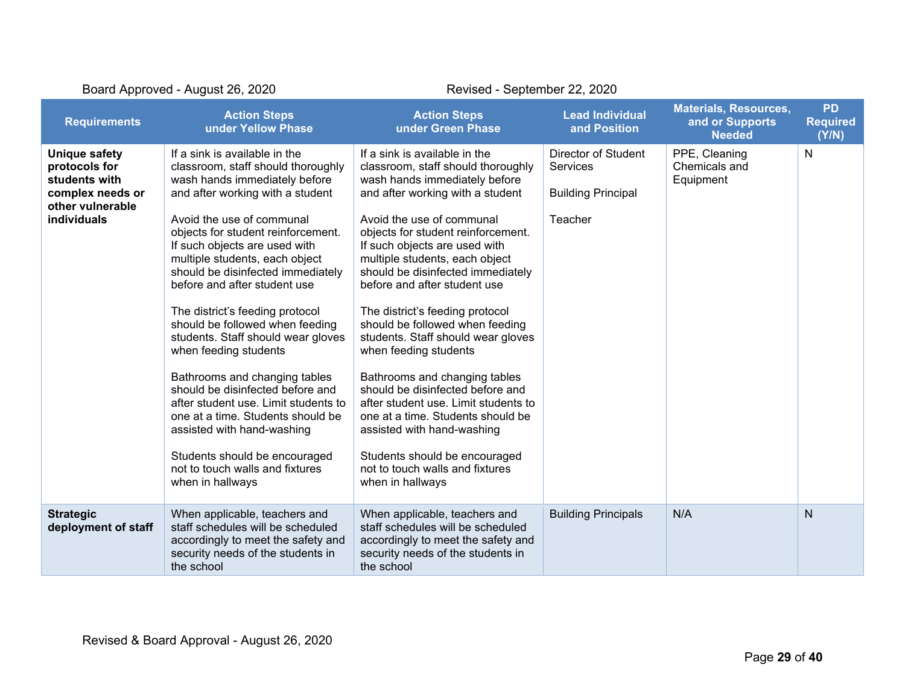| Board Approved - August 26, 2020                                                                                     |                                                                                                                                                                                                                                                                                                                                                                                                                                                                                                                                                                                                                                                                                                                                                                  | Revised - September 22, 2020                                                                                                                                                                                                                                                                                                                                                                                                                                                                                                                                                                                                                                                                                                                                     |                                                                                |                                                                  |                                       |
|----------------------------------------------------------------------------------------------------------------------|------------------------------------------------------------------------------------------------------------------------------------------------------------------------------------------------------------------------------------------------------------------------------------------------------------------------------------------------------------------------------------------------------------------------------------------------------------------------------------------------------------------------------------------------------------------------------------------------------------------------------------------------------------------------------------------------------------------------------------------------------------------|------------------------------------------------------------------------------------------------------------------------------------------------------------------------------------------------------------------------------------------------------------------------------------------------------------------------------------------------------------------------------------------------------------------------------------------------------------------------------------------------------------------------------------------------------------------------------------------------------------------------------------------------------------------------------------------------------------------------------------------------------------------|--------------------------------------------------------------------------------|------------------------------------------------------------------|---------------------------------------|
| <b>Requirements</b>                                                                                                  | <b>Action Steps</b><br>under Yellow Phase                                                                                                                                                                                                                                                                                                                                                                                                                                                                                                                                                                                                                                                                                                                        | <b>Action Steps</b><br>under Green Phase                                                                                                                                                                                                                                                                                                                                                                                                                                                                                                                                                                                                                                                                                                                         | <b>Lead Individual</b><br>and Position                                         | <b>Materials, Resources,</b><br>and or Supports<br><b>Needed</b> | <b>PD</b><br><b>Required</b><br>(Y/N) |
| <b>Unique safety</b><br>protocols for<br>students with<br>complex needs or<br>other vulnerable<br><b>individuals</b> | If a sink is available in the<br>classroom, staff should thoroughly<br>wash hands immediately before<br>and after working with a student<br>Avoid the use of communal<br>objects for student reinforcement.<br>If such objects are used with<br>multiple students, each object<br>should be disinfected immediately<br>before and after student use<br>The district's feeding protocol<br>should be followed when feeding<br>students. Staff should wear gloves<br>when feeding students<br>Bathrooms and changing tables<br>should be disinfected before and<br>after student use. Limit students to<br>one at a time. Students should be<br>assisted with hand-washing<br>Students should be encouraged<br>not to touch walls and fixtures<br>when in hallways | If a sink is available in the<br>classroom, staff should thoroughly<br>wash hands immediately before<br>and after working with a student<br>Avoid the use of communal<br>objects for student reinforcement.<br>If such objects are used with<br>multiple students, each object<br>should be disinfected immediately<br>before and after student use<br>The district's feeding protocol<br>should be followed when feeding<br>students. Staff should wear gloves<br>when feeding students<br>Bathrooms and changing tables<br>should be disinfected before and<br>after student use. Limit students to<br>one at a time. Students should be<br>assisted with hand-washing<br>Students should be encouraged<br>not to touch walls and fixtures<br>when in hallways | <b>Director of Student</b><br>Services<br><b>Building Principal</b><br>Teacher | PPE, Cleaning<br>Chemicals and<br>Equipment                      | N                                     |
| <b>Strategic</b><br>deployment of staff                                                                              | When applicable, teachers and<br>staff schedules will be scheduled<br>accordingly to meet the safety and<br>security needs of the students in<br>the school                                                                                                                                                                                                                                                                                                                                                                                                                                                                                                                                                                                                      | When applicable, teachers and<br>staff schedules will be scheduled<br>accordingly to meet the safety and<br>security needs of the students in<br>the school                                                                                                                                                                                                                                                                                                                                                                                                                                                                                                                                                                                                      | <b>Building Principals</b>                                                     | N/A                                                              | N                                     |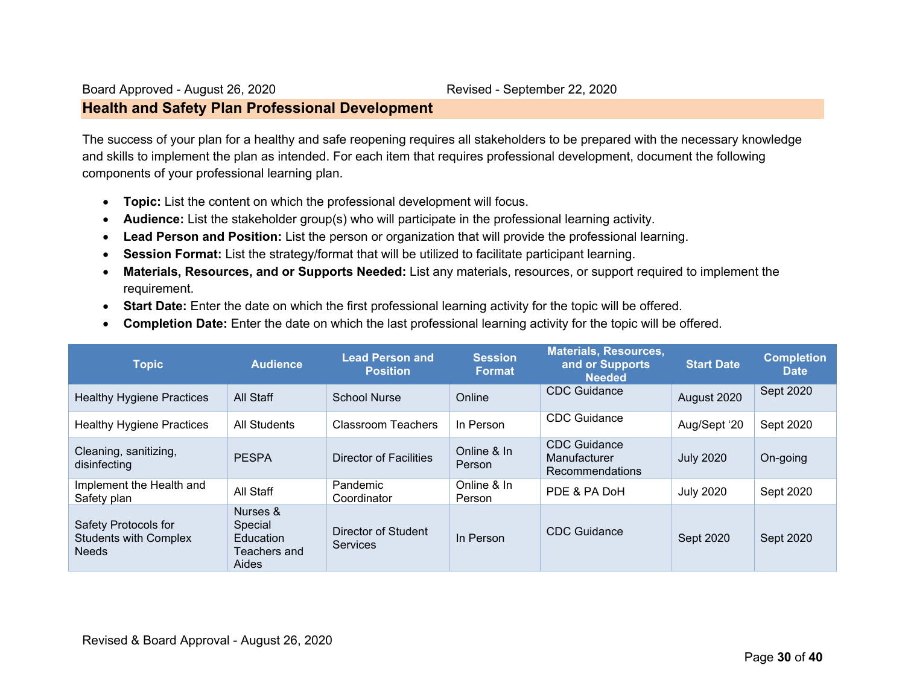### **Health and Safety Plan Professional Development**

The success of your plan for a healthy and safe reopening requires all stakeholders to be prepared with the necessary knowledge and skills to implement the plan as intended. For each item that requires professional development, document the following components of your professional learning plan.

- **Topic:** List the content on which the professional development will focus.
- **Audience:** List the stakeholder group(s) who will participate in the professional learning activity.
- **Lead Person and Position:** List the person or organization that will provide the professional learning.
- **Session Format:** List the strategy/format that will be utilized to facilitate participant learning.
- **Materials, Resources, and or Supports Needed:** List any materials, resources, or support required to implement the requirement.
- **Start Date:** Enter the date on which the first professional learning activity for the topic will be offered.
- **Completion Date:** Enter the date on which the last professional learning activity for the topic will be offered.

| <b>Topic</b>                                                         | <b>Audience</b>                                           | <b>Lead Person and</b><br><b>Position</b> | <b>Session</b><br><b>Format</b> | <b>Materials, Resources,</b><br>and or Supports<br><b>Needed</b> | <b>Start Date</b> | <b>Completion</b><br><b>Date</b> |
|----------------------------------------------------------------------|-----------------------------------------------------------|-------------------------------------------|---------------------------------|------------------------------------------------------------------|-------------------|----------------------------------|
| <b>Healthy Hygiene Practices</b>                                     | All Staff                                                 | <b>School Nurse</b>                       | Online                          | <b>CDC</b> Guidance                                              | August 2020       | Sept 2020                        |
| <b>Healthy Hygiene Practices</b>                                     | All Students                                              | <b>Classroom Teachers</b>                 | In Person                       | <b>CDC</b> Guidance                                              | Aug/Sept '20      | Sept 2020                        |
| Cleaning, sanitizing,<br>disinfecting                                | <b>PESPA</b>                                              | Director of Facilities                    | Online & In<br><b>Person</b>    | CDC Guidance<br>Manufacturer<br>Recommendations                  | <b>July 2020</b>  | On-going                         |
| Implement the Health and<br>Safety plan                              | All Staff                                                 | Pandemic<br>Coordinator                   | Online & In<br>Person           | PDE & PA DoH                                                     | <b>July 2020</b>  | Sept 2020                        |
| Safety Protocols for<br><b>Students with Complex</b><br><b>Needs</b> | Nurses &<br>Special<br>Education<br>Teachers and<br>Aides | Director of Student<br><b>Services</b>    | In Person                       | CDC Guidance                                                     | Sept 2020         | Sept 2020                        |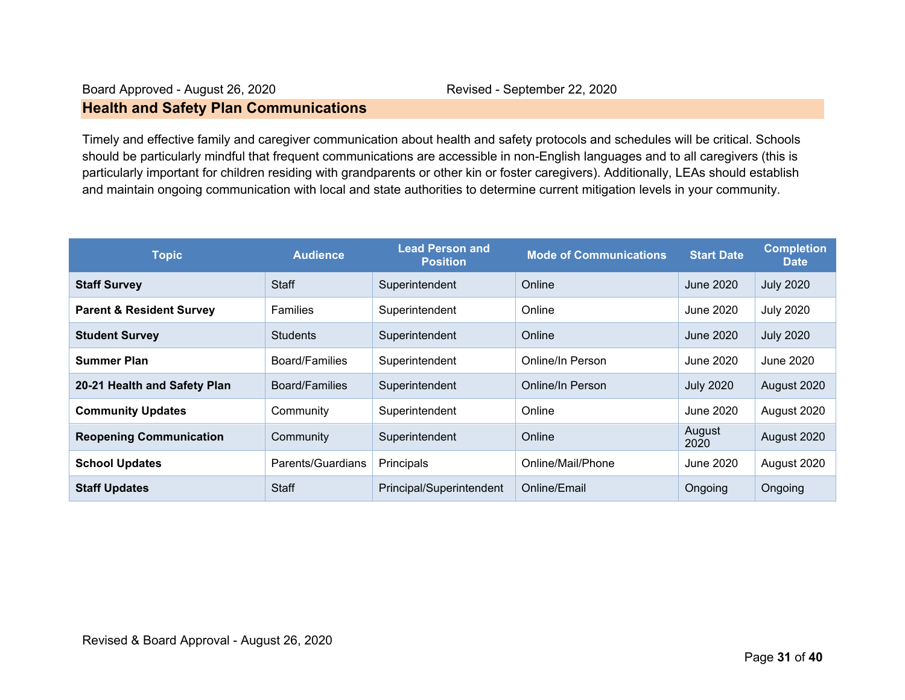### **Health and Safety Plan Communications**

Timely and effective family and caregiver communication about health and safety protocols and schedules will be critical. Schools should be particularly mindful that frequent communications are accessible in non-English languages and to all caregivers (this is particularly important for children residing with grandparents or other kin or foster caregivers). Additionally, LEAs should establish and maintain ongoing communication with local and state authorities to determine current mitigation levels in your community.

| <b>Topic</b>                        | <b>Audience</b>   | <b>Lead Person and</b><br><b>Position</b> | <b>Mode of Communications</b> | <b>Start Date</b> | <b>Completion</b><br><b>Date</b> |
|-------------------------------------|-------------------|-------------------------------------------|-------------------------------|-------------------|----------------------------------|
| <b>Staff Survey</b>                 | <b>Staff</b>      | Superintendent                            | Online                        | June 2020         | <b>July 2020</b>                 |
| <b>Parent &amp; Resident Survey</b> | <b>Families</b>   | Superintendent                            | Online                        | June 2020         | <b>July 2020</b>                 |
| <b>Student Survey</b>               | <b>Students</b>   | Superintendent                            | Online                        | June 2020         | <b>July 2020</b>                 |
| <b>Summer Plan</b>                  | Board/Families    | Superintendent                            | Online/In Person              | June 2020         | June 2020                        |
| 20-21 Health and Safety Plan        | Board/Families    | Superintendent                            | Online/In Person              | <b>July 2020</b>  | August 2020                      |
| <b>Community Updates</b>            | Community         | Superintendent                            | Online                        | June 2020         | August 2020                      |
| <b>Reopening Communication</b>      | Community         | Superintendent                            | Online                        | August<br>2020    | August 2020                      |
| <b>School Updates</b>               | Parents/Guardians | Principals                                | Online/Mail/Phone             | June 2020         | August 2020                      |
| <b>Staff Updates</b>                | <b>Staff</b>      | Principal/Superintendent                  | Online/Email                  | Ongoing           | Ongoing                          |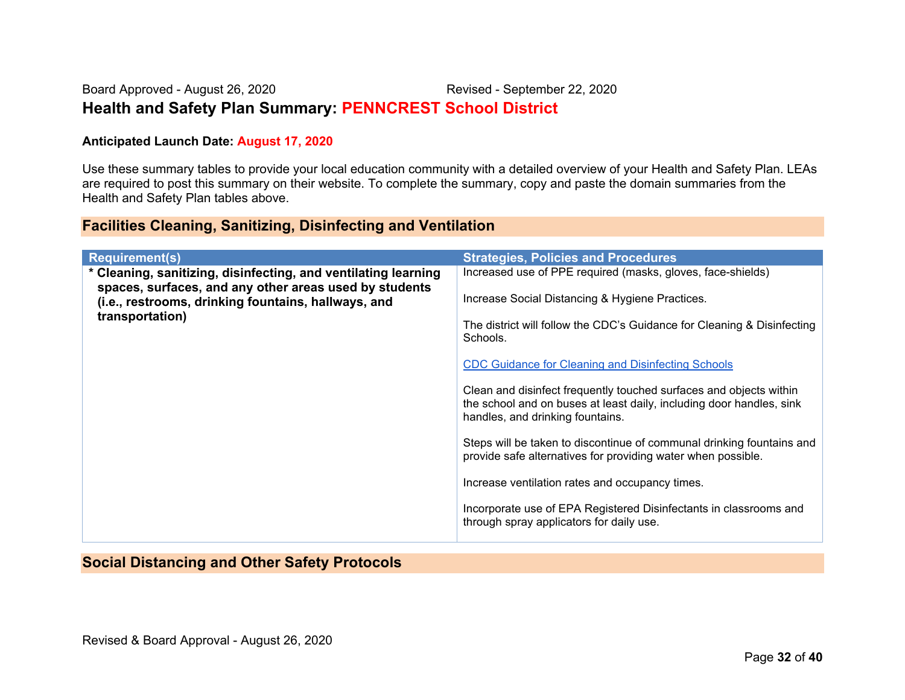### Board Approved - August 26, 2020 Revised - September 22, 2020 **Health and Safety Plan Summary: PENNCREST School District**

### **Anticipated Launch Date: August 17, 2020**

Use these summary tables to provide your local education community with a detailed overview of your Health and Safety Plan. LEAs are required to post this summary on their website. To complete the summary, copy and paste the domain summaries from the Health and Safety Plan tables above.

### **Facilities Cleaning, Sanitizing, Disinfecting and Ventilation**

| <b>Requirement(s)</b>                                                                                                            | <b>Strategies, Policies and Procedures</b>                                                                                                                                     |
|----------------------------------------------------------------------------------------------------------------------------------|--------------------------------------------------------------------------------------------------------------------------------------------------------------------------------|
| * Cleaning, sanitizing, disinfecting, and ventilating learning                                                                   | Increased use of PPE required (masks, gloves, face-shields)                                                                                                                    |
| spaces, surfaces, and any other areas used by students<br>(i.e., restrooms, drinking fountains, hallways, and<br>transportation) | Increase Social Distancing & Hygiene Practices.                                                                                                                                |
|                                                                                                                                  | The district will follow the CDC's Guidance for Cleaning & Disinfecting<br>Schools.                                                                                            |
|                                                                                                                                  | <b>CDC Guidance for Cleaning and Disinfecting Schools</b>                                                                                                                      |
|                                                                                                                                  | Clean and disinfect frequently touched surfaces and objects within<br>the school and on buses at least daily, including door handles, sink<br>handles, and drinking fountains. |
|                                                                                                                                  | Steps will be taken to discontinue of communal drinking fountains and<br>provide safe alternatives for providing water when possible.                                          |
|                                                                                                                                  | Increase ventilation rates and occupancy times.                                                                                                                                |
|                                                                                                                                  | Incorporate use of EPA Registered Disinfectants in classrooms and<br>through spray applicators for daily use.                                                                  |

### **Social Distancing and Other Safety Protocols**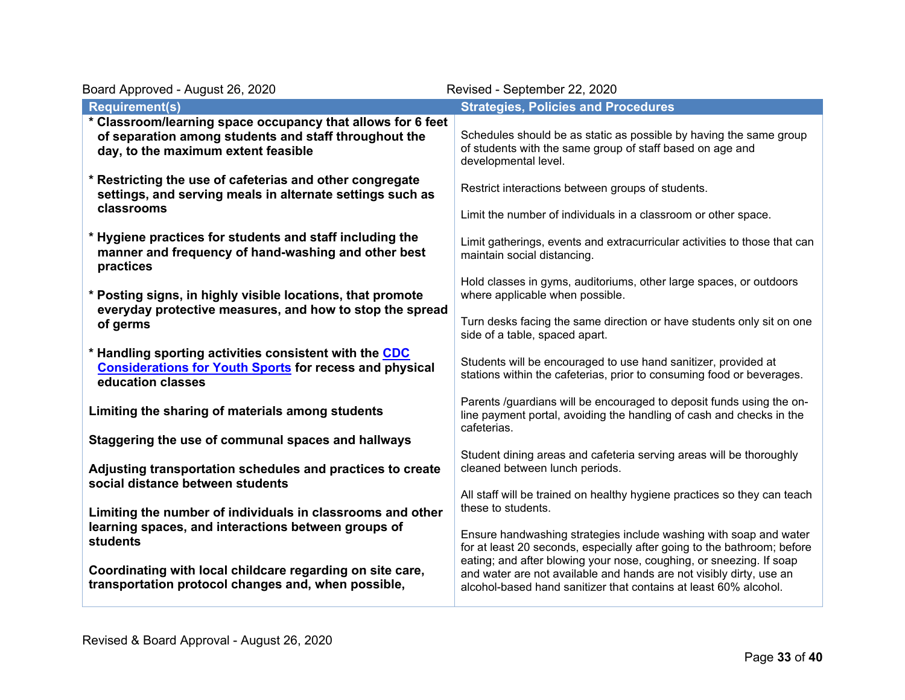| Board Approved - August 26, 2020                                                                                                                            | Revised - September 22, 2020                                                                                                                                                                                        |
|-------------------------------------------------------------------------------------------------------------------------------------------------------------|---------------------------------------------------------------------------------------------------------------------------------------------------------------------------------------------------------------------|
| <b>Requirement(s)</b>                                                                                                                                       | <b>Strategies, Policies and Procedures</b>                                                                                                                                                                          |
| * Classroom/learning space occupancy that allows for 6 feet<br>of separation among students and staff throughout the<br>day, to the maximum extent feasible | Schedules should be as static as possible by having the same group<br>of students with the same group of staff based on age and<br>developmental level.                                                             |
| * Restricting the use of cafeterias and other congregate<br>settings, and serving meals in alternate settings such as<br>classrooms                         | Restrict interactions between groups of students.<br>Limit the number of individuals in a classroom or other space.                                                                                                 |
| * Hygiene practices for students and staff including the<br>manner and frequency of hand-washing and other best<br>practices                                | Limit gatherings, events and extracurricular activities to those that can<br>maintain social distancing.                                                                                                            |
| * Posting signs, in highly visible locations, that promote<br>everyday protective measures, and how to stop the spread                                      | Hold classes in gyms, auditoriums, other large spaces, or outdoors<br>where applicable when possible.                                                                                                               |
| of germs                                                                                                                                                    | Turn desks facing the same direction or have students only sit on one<br>side of a table, spaced apart.                                                                                                             |
| * Handling sporting activities consistent with the CDC<br><b>Considerations for Youth Sports for recess and physical</b><br>education classes               | Students will be encouraged to use hand sanitizer, provided at<br>stations within the cafeterias, prior to consuming food or beverages.                                                                             |
| Limiting the sharing of materials among students                                                                                                            | Parents /guardians will be encouraged to deposit funds using the on-<br>line payment portal, avoiding the handling of cash and checks in the<br>cafeterias.                                                         |
| Staggering the use of communal spaces and hallways                                                                                                          | Student dining areas and cafeteria serving areas will be thoroughly                                                                                                                                                 |
| Adjusting transportation schedules and practices to create<br>social distance between students                                                              | cleaned between lunch periods.                                                                                                                                                                                      |
| Limiting the number of individuals in classrooms and other                                                                                                  | All staff will be trained on healthy hygiene practices so they can teach<br>these to students.                                                                                                                      |
| learning spaces, and interactions between groups of<br><b>students</b>                                                                                      | Ensure handwashing strategies include washing with soap and water<br>for at least 20 seconds, especially after going to the bathroom; before<br>eating; and after blowing your nose, coughing, or sneezing. If soap |
| Coordinating with local childcare regarding on site care,<br>transportation protocol changes and, when possible,                                            | and water are not available and hands are not visibly dirty, use an<br>alcohol-based hand sanitizer that contains at least 60% alcohol.                                                                             |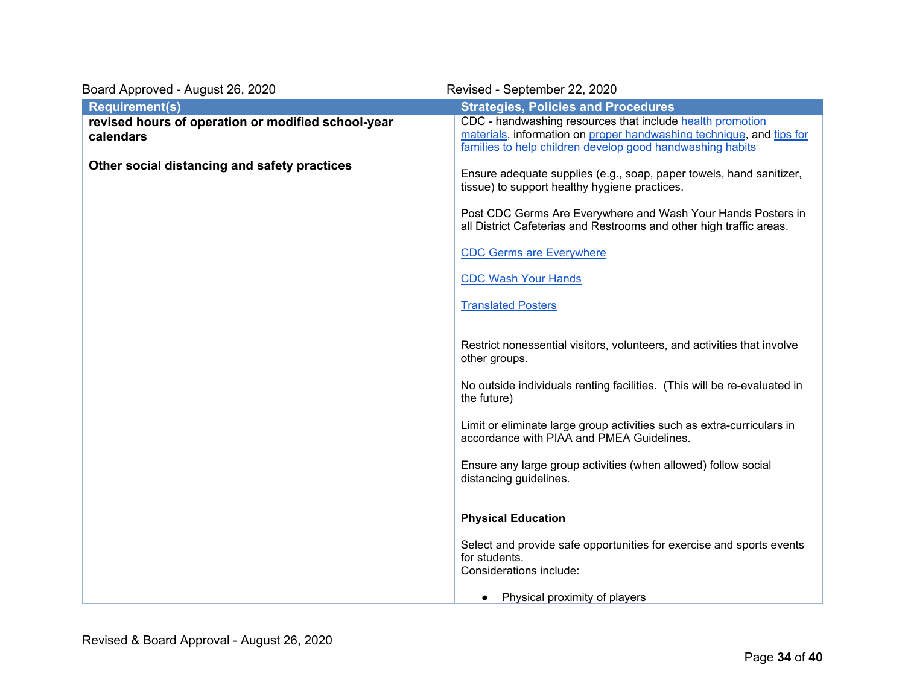| Board Approved - August 26, 2020                                | Revised - September 22, 2020                                                                                                                                                                   |
|-----------------------------------------------------------------|------------------------------------------------------------------------------------------------------------------------------------------------------------------------------------------------|
| <b>Requirement(s)</b>                                           | <b>Strategies, Policies and Procedures</b>                                                                                                                                                     |
| revised hours of operation or modified school-year<br>calendars | CDC - handwashing resources that include health promotion<br>materials, information on proper handwashing technique, and tips for<br>families to help children develop good handwashing habits |
| Other social distancing and safety practices                    | Ensure adequate supplies (e.g., soap, paper towels, hand sanitizer,<br>tissue) to support healthy hygiene practices.                                                                           |
|                                                                 | Post CDC Germs Are Everywhere and Wash Your Hands Posters in<br>all District Cafeterias and Restrooms and other high traffic areas.                                                            |
|                                                                 | <b>CDC Germs are Everywhere</b>                                                                                                                                                                |
|                                                                 | <b>CDC Wash Your Hands</b>                                                                                                                                                                     |
|                                                                 | <b>Translated Posters</b>                                                                                                                                                                      |
|                                                                 | Restrict nonessential visitors, volunteers, and activities that involve<br>other groups.                                                                                                       |
|                                                                 | No outside individuals renting facilities. (This will be re-evaluated in<br>the future)                                                                                                        |
|                                                                 | Limit or eliminate large group activities such as extra-curriculars in<br>accordance with PIAA and PMEA Guidelines.                                                                            |
|                                                                 | Ensure any large group activities (when allowed) follow social<br>distancing guidelines.                                                                                                       |
|                                                                 | <b>Physical Education</b>                                                                                                                                                                      |
|                                                                 | Select and provide safe opportunities for exercise and sports events<br>for students.<br>Considerations include:                                                                               |
|                                                                 | Physical proximity of players<br>$\bullet$                                                                                                                                                     |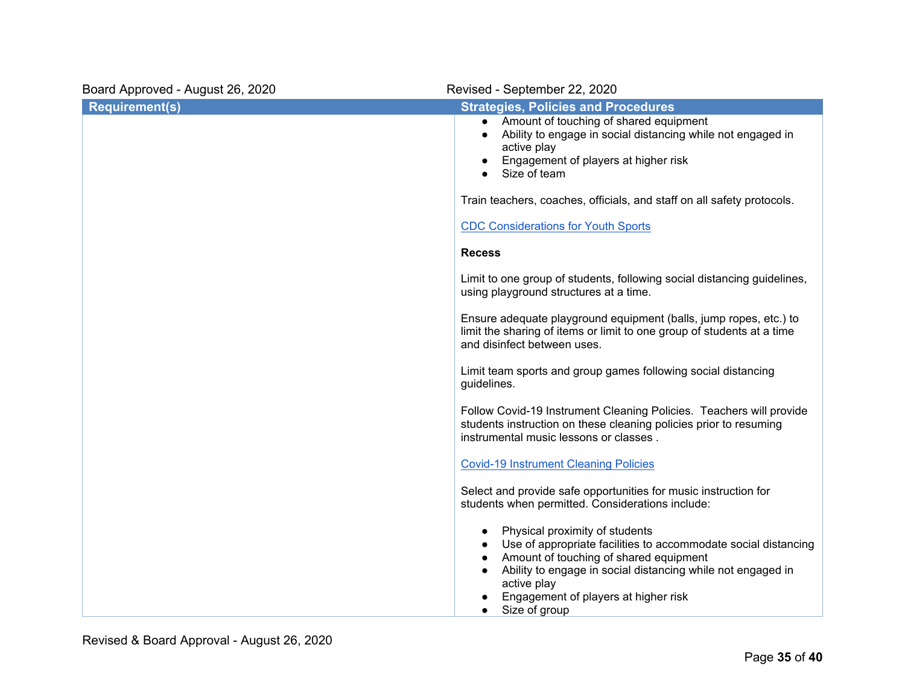| Board Approved - August 26, 2020 | Revised - September 22, 2020                                                                                                                                                                                                                                                      |
|----------------------------------|-----------------------------------------------------------------------------------------------------------------------------------------------------------------------------------------------------------------------------------------------------------------------------------|
| <b>Requirement(s)</b>            | <b>Strategies, Policies and Procedures</b><br>Amount of touching of shared equipment<br>$\bullet$<br>Ability to engage in social distancing while not engaged in<br>$\bullet$<br>active play<br>Engagement of players at higher risk<br>Size of team                              |
|                                  | Train teachers, coaches, officials, and staff on all safety protocols.<br><b>CDC Considerations for Youth Sports</b>                                                                                                                                                              |
|                                  | <b>Recess</b>                                                                                                                                                                                                                                                                     |
|                                  | Limit to one group of students, following social distancing guidelines,<br>using playground structures at a time.                                                                                                                                                                 |
|                                  | Ensure adequate playground equipment (balls, jump ropes, etc.) to<br>limit the sharing of items or limit to one group of students at a time<br>and disinfect between uses.                                                                                                        |
|                                  | Limit team sports and group games following social distancing<br>guidelines.                                                                                                                                                                                                      |
|                                  | Follow Covid-19 Instrument Cleaning Policies. Teachers will provide<br>students instruction on these cleaning policies prior to resuming<br>instrumental music lessons or classes.                                                                                                |
|                                  | <b>Covid-19 Instrument Cleaning Policies</b>                                                                                                                                                                                                                                      |
|                                  | Select and provide safe opportunities for music instruction for<br>students when permitted. Considerations include:                                                                                                                                                               |
|                                  | Physical proximity of students<br>Use of appropriate facilities to accommodate social distancing<br>Amount of touching of shared equipment<br>Ability to engage in social distancing while not engaged in<br>active play<br>Engagement of players at higher risk<br>Size of group |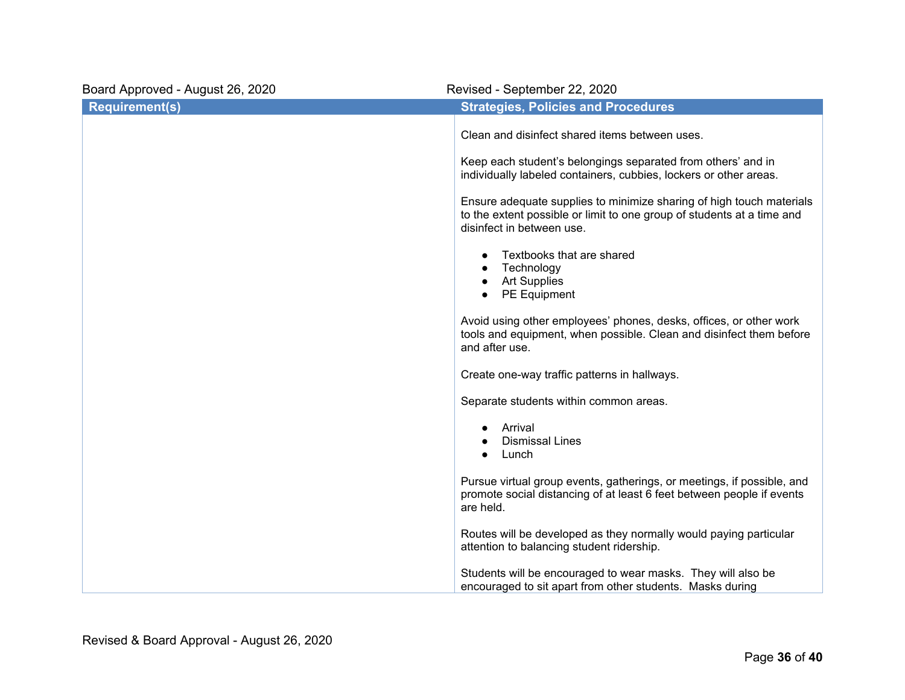| Board Approved - August 26, 2020 | Revised - September 22, 2020                                                                                                                                                |  |  |
|----------------------------------|-----------------------------------------------------------------------------------------------------------------------------------------------------------------------------|--|--|
| <b>Requirement(s)</b>            | <b>Strategies, Policies and Procedures</b>                                                                                                                                  |  |  |
|                                  | Clean and disinfect shared items between uses.                                                                                                                              |  |  |
|                                  | Keep each student's belongings separated from others' and in<br>individually labeled containers, cubbies, lockers or other areas.                                           |  |  |
|                                  | Ensure adequate supplies to minimize sharing of high touch materials<br>to the extent possible or limit to one group of students at a time and<br>disinfect in between use. |  |  |
|                                  | Textbooks that are shared<br>Technology<br><b>Art Supplies</b><br>PE Equipment                                                                                              |  |  |
|                                  | Avoid using other employees' phones, desks, offices, or other work<br>tools and equipment, when possible. Clean and disinfect them before<br>and after use.                 |  |  |
|                                  | Create one-way traffic patterns in hallways.                                                                                                                                |  |  |
|                                  | Separate students within common areas.                                                                                                                                      |  |  |
|                                  | Arrival<br><b>Dismissal Lines</b><br>Lunch                                                                                                                                  |  |  |
|                                  | Pursue virtual group events, gatherings, or meetings, if possible, and<br>promote social distancing of at least 6 feet between people if events<br>are held.                |  |  |
|                                  | Routes will be developed as they normally would paying particular<br>attention to balancing student ridership.                                                              |  |  |
|                                  | Students will be encouraged to wear masks. They will also be<br>encouraged to sit apart from other students. Masks during                                                   |  |  |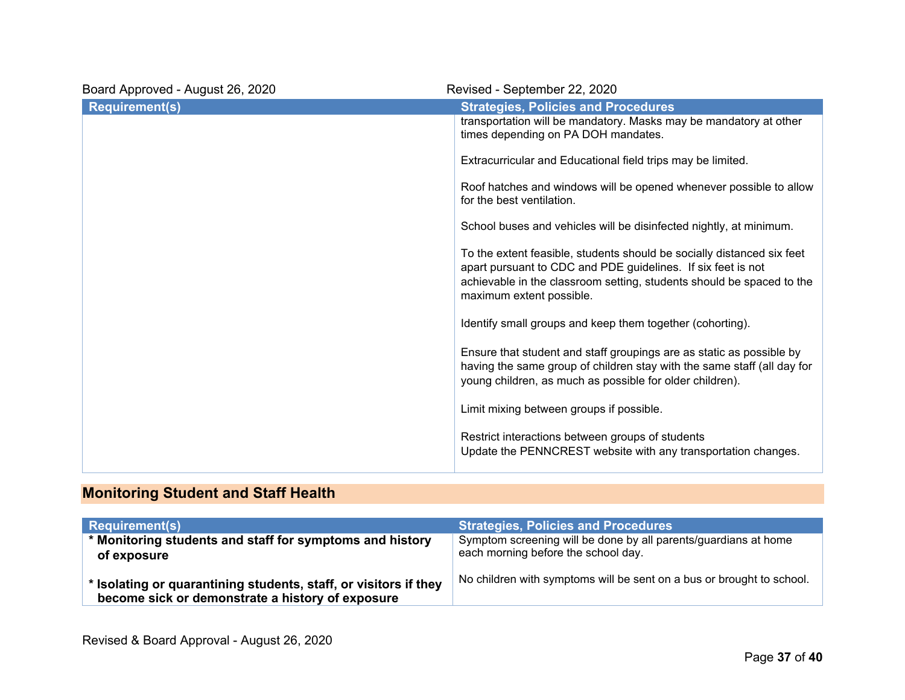| Board Approved - August 26, 2020 | Revised - September 22, 2020                                                                                                                                                                                                                |
|----------------------------------|---------------------------------------------------------------------------------------------------------------------------------------------------------------------------------------------------------------------------------------------|
| <b>Requirement(s)</b>            | <b>Strategies, Policies and Procedures</b>                                                                                                                                                                                                  |
|                                  | transportation will be mandatory. Masks may be mandatory at other<br>times depending on PA DOH mandates.                                                                                                                                    |
|                                  | Extracurricular and Educational field trips may be limited.                                                                                                                                                                                 |
|                                  | Roof hatches and windows will be opened whenever possible to allow<br>for the best ventilation.                                                                                                                                             |
|                                  | School buses and vehicles will be disinfected nightly, at minimum.                                                                                                                                                                          |
|                                  | To the extent feasible, students should be socially distanced six feet<br>apart pursuant to CDC and PDE guidelines. If six feet is not<br>achievable in the classroom setting, students should be spaced to the<br>maximum extent possible. |
|                                  | Identify small groups and keep them together (cohorting).                                                                                                                                                                                   |
|                                  | Ensure that student and staff groupings are as static as possible by<br>having the same group of children stay with the same staff (all day for<br>young children, as much as possible for older children).                                 |
|                                  | Limit mixing between groups if possible.                                                                                                                                                                                                    |
|                                  | Restrict interactions between groups of students<br>Update the PENNCREST website with any transportation changes.                                                                                                                           |
|                                  |                                                                                                                                                                                                                                             |

# **Monitoring Student and Staff Health**

| <b>Requirement(s)</b>                                                                                                | <b>Strategies, Policies and Procedures</b>                                                             |
|----------------------------------------------------------------------------------------------------------------------|--------------------------------------------------------------------------------------------------------|
| * Monitoring students and staff for symptoms and history<br>of exposure                                              | Symptom screening will be done by all parents/guardians at home<br>each morning before the school day. |
| * Isolating or quarantining students, staff, or visitors if they<br>become sick or demonstrate a history of exposure | No children with symptoms will be sent on a bus or brought to school.                                  |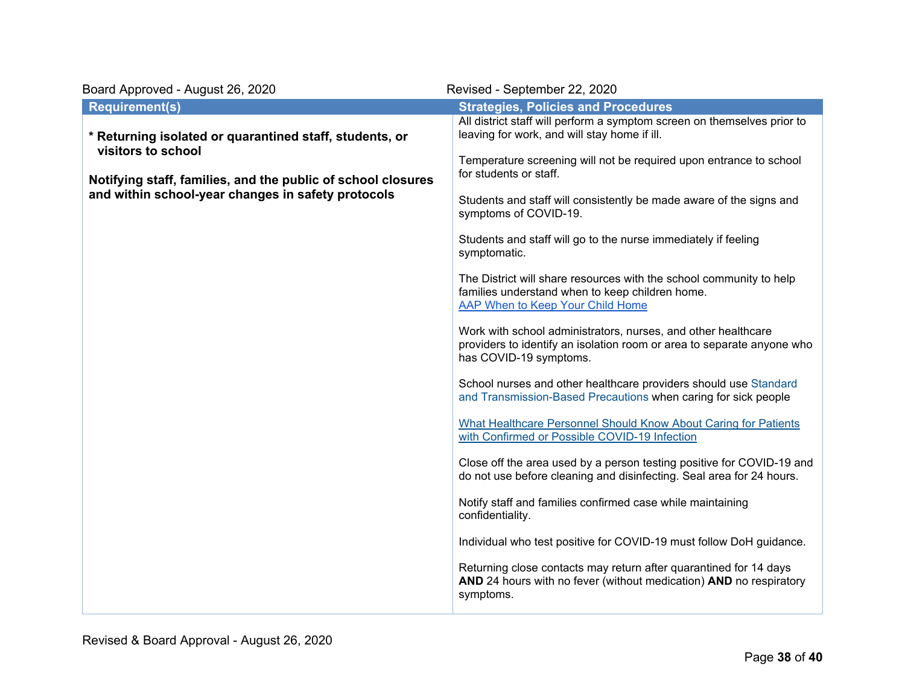| Board Approved - August 26, 2020                                                                                   | Revised - September 22, 2020                                                                                                                                      |
|--------------------------------------------------------------------------------------------------------------------|-------------------------------------------------------------------------------------------------------------------------------------------------------------------|
| <b>Requirement(s)</b>                                                                                              | <b>Strategies, Policies and Procedures</b>                                                                                                                        |
| * Returning isolated or quarantined staff, students, or<br>visitors to school                                      | All district staff will perform a symptom screen on themselves prior to<br>leaving for work, and will stay home if ill.                                           |
| Notifying staff, families, and the public of school closures<br>and within school-year changes in safety protocols | Temperature screening will not be required upon entrance to school<br>for students or staff.                                                                      |
|                                                                                                                    | Students and staff will consistently be made aware of the signs and<br>symptoms of COVID-19.                                                                      |
|                                                                                                                    | Students and staff will go to the nurse immediately if feeling<br>symptomatic.                                                                                    |
|                                                                                                                    | The District will share resources with the school community to help<br>families understand when to keep children home.<br>AAP When to Keep Your Child Home        |
|                                                                                                                    | Work with school administrators, nurses, and other healthcare<br>providers to identify an isolation room or area to separate anyone who<br>has COVID-19 symptoms. |
|                                                                                                                    | School nurses and other healthcare providers should use Standard<br>and Transmission-Based Precautions when caring for sick people                                |
|                                                                                                                    | What Healthcare Personnel Should Know About Caring for Patients<br>with Confirmed or Possible COVID-19 Infection                                                  |
|                                                                                                                    | Close off the area used by a person testing positive for COVID-19 and<br>do not use before cleaning and disinfecting. Seal area for 24 hours.                     |
|                                                                                                                    | Notify staff and families confirmed case while maintaining<br>confidentiality.                                                                                    |
|                                                                                                                    | Individual who test positive for COVID-19 must follow DoH guidance.                                                                                               |
|                                                                                                                    | Returning close contacts may return after quarantined for 14 days<br>AND 24 hours with no fever (without medication) AND no respiratory<br>symptoms.              |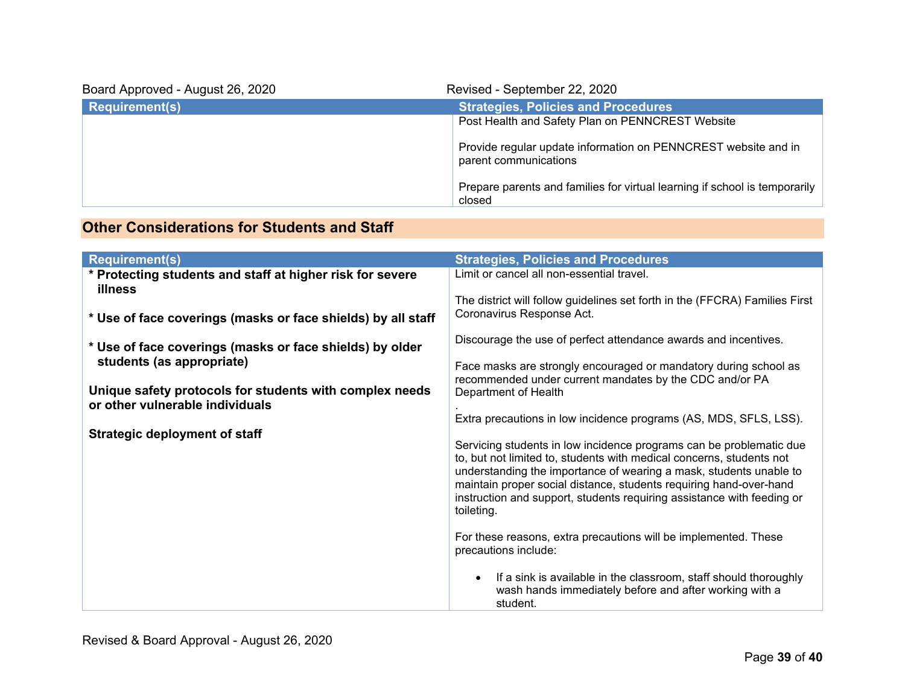| Board Approved - August 26, 2020 | Revised - September 22, 2020                                                            |
|----------------------------------|-----------------------------------------------------------------------------------------|
| <b>Requirement(s)</b>            | <b>Strategies, Policies and Procedures</b>                                              |
|                                  | Post Health and Safety Plan on PENNCREST Website                                        |
|                                  | Provide regular update information on PENNCREST website and in<br>parent communications |
|                                  | Prepare parents and families for virtual learning if school is temporarily<br>closed    |

### **Other Considerations for Students and Staff**

| <b>Requirement(s)</b>                                                | <b>Strategies, Policies and Procedures</b>                                                                                                                                                                                                                                                                                                                                      |
|----------------------------------------------------------------------|---------------------------------------------------------------------------------------------------------------------------------------------------------------------------------------------------------------------------------------------------------------------------------------------------------------------------------------------------------------------------------|
| * Protecting students and staff at higher risk for severe<br>illness | Limit or cancel all non-essential travel.                                                                                                                                                                                                                                                                                                                                       |
|                                                                      | The district will follow guidelines set forth in the (FFCRA) Families First<br>Coronavirus Response Act.                                                                                                                                                                                                                                                                        |
| * Use of face coverings (masks or face shields) by all staff         |                                                                                                                                                                                                                                                                                                                                                                                 |
| * Use of face coverings (masks or face shields) by older             | Discourage the use of perfect attendance awards and incentives.                                                                                                                                                                                                                                                                                                                 |
| students (as appropriate)                                            | Face masks are strongly encouraged or mandatory during school as<br>recommended under current mandates by the CDC and/or PA                                                                                                                                                                                                                                                     |
| Unique safety protocols for students with complex needs              | Department of Health                                                                                                                                                                                                                                                                                                                                                            |
| or other vulnerable individuals                                      | Extra precautions in low incidence programs (AS, MDS, SFLS, LSS).                                                                                                                                                                                                                                                                                                               |
| <b>Strategic deployment of staff</b>                                 | Servicing students in low incidence programs can be problematic due<br>to, but not limited to, students with medical concerns, students not<br>understanding the importance of wearing a mask, students unable to<br>maintain proper social distance, students requiring hand-over-hand<br>instruction and support, students requiring assistance with feeding or<br>toileting. |
|                                                                      | For these reasons, extra precautions will be implemented. These<br>precautions include:                                                                                                                                                                                                                                                                                         |
|                                                                      | If a sink is available in the classroom, staff should thoroughly<br>wash hands immediately before and after working with a<br>student.                                                                                                                                                                                                                                          |